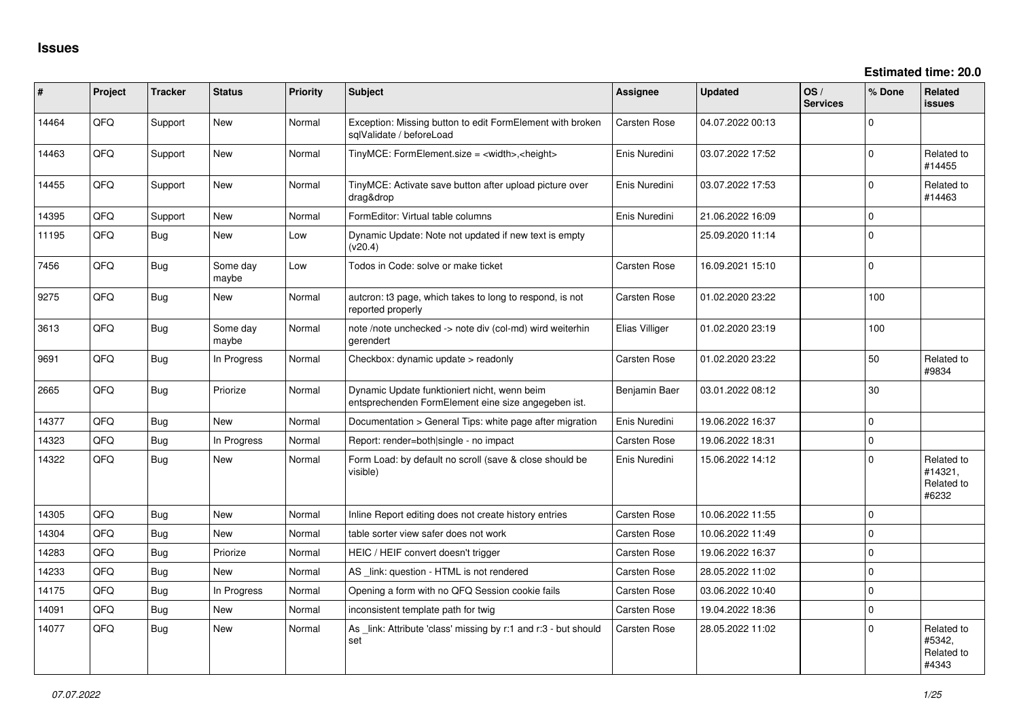| #     | Project | <b>Tracker</b> | <b>Status</b>     | <b>Priority</b> | <b>Subject</b>                                                                                      | <b>Assignee</b> | <b>Updated</b>   | OS/<br><b>Services</b> | % Done      | Related<br><b>issues</b>                     |
|-------|---------|----------------|-------------------|-----------------|-----------------------------------------------------------------------------------------------------|-----------------|------------------|------------------------|-------------|----------------------------------------------|
| 14464 | QFQ     | Support        | <b>New</b>        | Normal          | Exception: Missing button to edit FormElement with broken<br>sqlValidate / beforeLoad               | Carsten Rose    | 04.07.2022 00:13 |                        | $\Omega$    |                                              |
| 14463 | QFQ     | Support        | New               | Normal          | TinyMCE: FormElement.size = <width>,<height></height></width>                                       | Enis Nuredini   | 03.07.2022 17:52 |                        | $\Omega$    | Related to<br>#14455                         |
| 14455 | QFQ     | Support        | <b>New</b>        | Normal          | TinyMCE: Activate save button after upload picture over<br>drag&drop                                | Enis Nuredini   | 03.07.2022 17:53 |                        | $\Omega$    | Related to<br>#14463                         |
| 14395 | QFQ     | Support        | New               | Normal          | FormEditor: Virtual table columns                                                                   | Enis Nuredini   | 21.06.2022 16:09 |                        | $\mathbf 0$ |                                              |
| 11195 | QFQ     | Bug            | New               | Low             | Dynamic Update: Note not updated if new text is empty<br>(v20.4)                                    |                 | 25.09.2020 11:14 |                        | $\Omega$    |                                              |
| 7456  | QFQ     | <b>Bug</b>     | Some day<br>maybe | Low             | Todos in Code: solve or make ticket                                                                 | Carsten Rose    | 16.09.2021 15:10 |                        | $\Omega$    |                                              |
| 9275  | QFQ     | <b>Bug</b>     | <b>New</b>        | Normal          | autcron: t3 page, which takes to long to respond, is not<br>reported properly                       | Carsten Rose    | 01.02.2020 23:22 |                        | 100         |                                              |
| 3613  | QFQ     | <b>Bug</b>     | Some day<br>maybe | Normal          | note /note unchecked -> note div (col-md) wird weiterhin<br>gerendert                               | Elias Villiger  | 01.02.2020 23:19 |                        | 100         |                                              |
| 9691  | QFQ     | <b>Bug</b>     | In Progress       | Normal          | Checkbox: dynamic update > readonly                                                                 | Carsten Rose    | 01.02.2020 23:22 |                        | 50          | Related to<br>#9834                          |
| 2665  | QFQ     | Bug            | Priorize          | Normal          | Dynamic Update funktioniert nicht, wenn beim<br>entsprechenden FormElement eine size angegeben ist. | Benjamin Baer   | 03.01.2022 08:12 |                        | 30          |                                              |
| 14377 | QFQ     | <b>Bug</b>     | New               | Normal          | Documentation > General Tips: white page after migration                                            | Enis Nuredini   | 19.06.2022 16:37 |                        | $\Omega$    |                                              |
| 14323 | QFQ     | <b>Bug</b>     | In Progress       | Normal          | Report: render=both single - no impact                                                              | Carsten Rose    | 19.06.2022 18:31 |                        | $\mathbf 0$ |                                              |
| 14322 | QFQ     | <b>Bug</b>     | New               | Normal          | Form Load: by default no scroll (save & close should be<br>visible)                                 | Enis Nuredini   | 15.06.2022 14:12 |                        | $\Omega$    | Related to<br>#14321,<br>Related to<br>#6232 |
| 14305 | QFQ     | <b>Bug</b>     | <b>New</b>        | Normal          | Inline Report editing does not create history entries                                               | Carsten Rose    | 10.06.2022 11:55 |                        | $\mathbf 0$ |                                              |
| 14304 | QFQ     | <b>Bug</b>     | New               | Normal          | table sorter view safer does not work                                                               | Carsten Rose    | 10.06.2022 11:49 |                        | $\mathbf 0$ |                                              |
| 14283 | QFQ     | <b>Bug</b>     | Priorize          | Normal          | HEIC / HEIF convert doesn't trigger                                                                 | Carsten Rose    | 19.06.2022 16:37 |                        | $\Omega$    |                                              |
| 14233 | QFQ     | <b>Bug</b>     | <b>New</b>        | Normal          | AS _link: question - HTML is not rendered                                                           | Carsten Rose    | 28.05.2022 11:02 |                        | $\mathbf 0$ |                                              |
| 14175 | QFQ     | <b>Bug</b>     | In Progress       | Normal          | Opening a form with no QFQ Session cookie fails                                                     | Carsten Rose    | 03.06.2022 10:40 |                        | $\mathbf 0$ |                                              |
| 14091 | QFQ     | Bug            | <b>New</b>        | Normal          | inconsistent template path for twig                                                                 | Carsten Rose    | 19.04.2022 18:36 |                        | $\Omega$    |                                              |
| 14077 | QFQ     | <b>Bug</b>     | New               | Normal          | As _link: Attribute 'class' missing by r:1 and r:3 - but should<br>set                              | Carsten Rose    | 28.05.2022 11:02 |                        | $\Omega$    | Related to<br>#5342,<br>Related to<br>#4343  |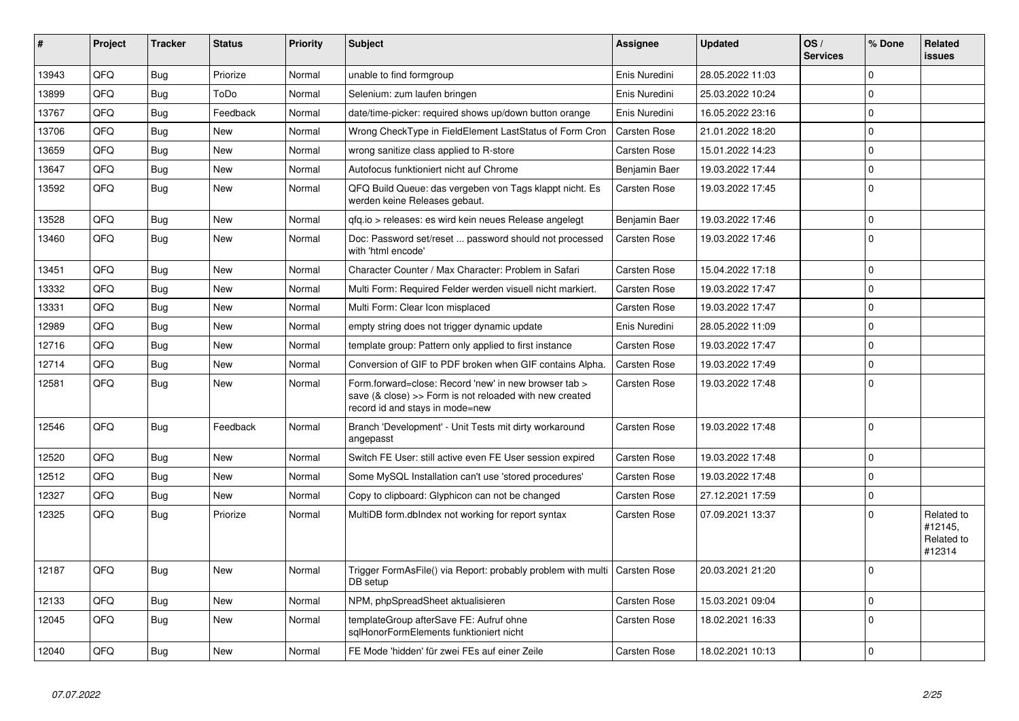| #     | Project | <b>Tracker</b> | <b>Status</b> | <b>Priority</b> | <b>Subject</b>                                                                                                                                      | <b>Assignee</b>     | <b>Updated</b>   | OS/<br><b>Services</b> | % Done      | <b>Related</b><br>issues                      |
|-------|---------|----------------|---------------|-----------------|-----------------------------------------------------------------------------------------------------------------------------------------------------|---------------------|------------------|------------------------|-------------|-----------------------------------------------|
| 13943 | QFQ     | Bug            | Priorize      | Normal          | unable to find formgroup                                                                                                                            | Enis Nuredini       | 28.05.2022 11:03 |                        | $\Omega$    |                                               |
| 13899 | QFQ     | Bug            | ToDo          | Normal          | Selenium: zum laufen bringen                                                                                                                        | Enis Nuredini       | 25.03.2022 10:24 |                        | $\Omega$    |                                               |
| 13767 | QFQ     | <b>Bug</b>     | Feedback      | Normal          | date/time-picker: required shows up/down button orange                                                                                              | Enis Nuredini       | 16.05.2022 23:16 |                        | $\Omega$    |                                               |
| 13706 | QFQ     | Bug            | <b>New</b>    | Normal          | Wrong CheckType in FieldElement LastStatus of Form Cron                                                                                             | <b>Carsten Rose</b> | 21.01.2022 18:20 |                        | $\Omega$    |                                               |
| 13659 | QFQ     | Bug            | New           | Normal          | wrong sanitize class applied to R-store                                                                                                             | Carsten Rose        | 15.01.2022 14:23 |                        | $\Omega$    |                                               |
| 13647 | QFQ     | Bug            | <b>New</b>    | Normal          | Autofocus funktioniert nicht auf Chrome                                                                                                             | Benjamin Baer       | 19.03.2022 17:44 |                        | $\Omega$    |                                               |
| 13592 | QFQ     | Bug            | <b>New</b>    | Normal          | QFQ Build Queue: das vergeben von Tags klappt nicht. Es<br>werden keine Releases gebaut.                                                            | Carsten Rose        | 19.03.2022 17:45 |                        | $\Omega$    |                                               |
| 13528 | QFQ     | <b>Bug</b>     | New           | Normal          | gfg.io > releases: es wird kein neues Release angelegt                                                                                              | Benjamin Baer       | 19.03.2022 17:46 |                        | $\Omega$    |                                               |
| 13460 | QFQ     | Bug            | New           | Normal          | Doc: Password set/reset  password should not processed<br>with 'html encode'                                                                        | Carsten Rose        | 19.03.2022 17:46 |                        | $\Omega$    |                                               |
| 13451 | QFQ     | Bug            | New           | Normal          | Character Counter / Max Character: Problem in Safari                                                                                                | Carsten Rose        | 15.04.2022 17:18 |                        | $\mathbf 0$ |                                               |
| 13332 | QFQ     | Bug            | <b>New</b>    | Normal          | Multi Form: Required Felder werden visuell nicht markiert.                                                                                          | Carsten Rose        | 19.03.2022 17:47 |                        | $\Omega$    |                                               |
| 13331 | QFQ     | Bug            | New           | Normal          | Multi Form: Clear Icon misplaced                                                                                                                    | Carsten Rose        | 19.03.2022 17:47 |                        | $\Omega$    |                                               |
| 12989 | QFQ     | Bug            | <b>New</b>    | Normal          | empty string does not trigger dynamic update                                                                                                        | Enis Nuredini       | 28.05.2022 11:09 |                        | $\Omega$    |                                               |
| 12716 | QFQ     | Bug            | New           | Normal          | template group: Pattern only applied to first instance                                                                                              | Carsten Rose        | 19.03.2022 17:47 |                        | $\Omega$    |                                               |
| 12714 | QFQ     | <b>Bug</b>     | New           | Normal          | Conversion of GIF to PDF broken when GIF contains Alpha.                                                                                            | <b>Carsten Rose</b> | 19.03.2022 17:49 |                        | $\Omega$    |                                               |
| 12581 | QFQ     | <b>Bug</b>     | New           | Normal          | Form.forward=close: Record 'new' in new browser tab ><br>save (& close) >> Form is not reloaded with new created<br>record id and stays in mode=new | Carsten Rose        | 19.03.2022 17:48 |                        | $\Omega$    |                                               |
| 12546 | QFQ     | Bug            | Feedback      | Normal          | Branch 'Development' - Unit Tests mit dirty workaround<br>angepasst                                                                                 | Carsten Rose        | 19.03.2022 17:48 |                        | $\Omega$    |                                               |
| 12520 | QFQ     | Bug            | New           | Normal          | Switch FE User: still active even FE User session expired                                                                                           | <b>Carsten Rose</b> | 19.03.2022 17:48 |                        | $\Omega$    |                                               |
| 12512 | QFQ     | <b>Bug</b>     | New           | Normal          | Some MySQL Installation can't use 'stored procedures'                                                                                               | Carsten Rose        | 19.03.2022 17:48 |                        | $\Omega$    |                                               |
| 12327 | QFQ     | Bug            | New           | Normal          | Copy to clipboard: Glyphicon can not be changed                                                                                                     | Carsten Rose        | 27.12.2021 17:59 |                        | $\Omega$    |                                               |
| 12325 | QFQ     | Bug            | Priorize      | Normal          | MultiDB form.dblndex not working for report syntax                                                                                                  | Carsten Rose        | 07.09.2021 13:37 |                        | $\Omega$    | Related to<br>#12145,<br>Related to<br>#12314 |
| 12187 | QFQ     | Bug            | <b>New</b>    | Normal          | Trigger FormAsFile() via Report: probably problem with multi   Carsten Rose<br>DB setup                                                             |                     | 20.03.2021 21:20 |                        | $\Omega$    |                                               |
| 12133 | QFQ     | Bug            | <b>New</b>    | Normal          | NPM, phpSpreadSheet aktualisieren                                                                                                                   | Carsten Rose        | 15.03.2021 09:04 |                        | $\Omega$    |                                               |
| 12045 | QFQ     | Bug            | New           | Normal          | templateGroup afterSave FE: Aufruf ohne<br>salHonorFormElements funktioniert nicht                                                                  | Carsten Rose        | 18.02.2021 16:33 |                        | $\Omega$    |                                               |
| 12040 | QFQ     | Bug            | New           | Normal          | FE Mode 'hidden' für zwei FEs auf einer Zeile                                                                                                       | Carsten Rose        | 18.02.2021 10:13 |                        | $\Omega$    |                                               |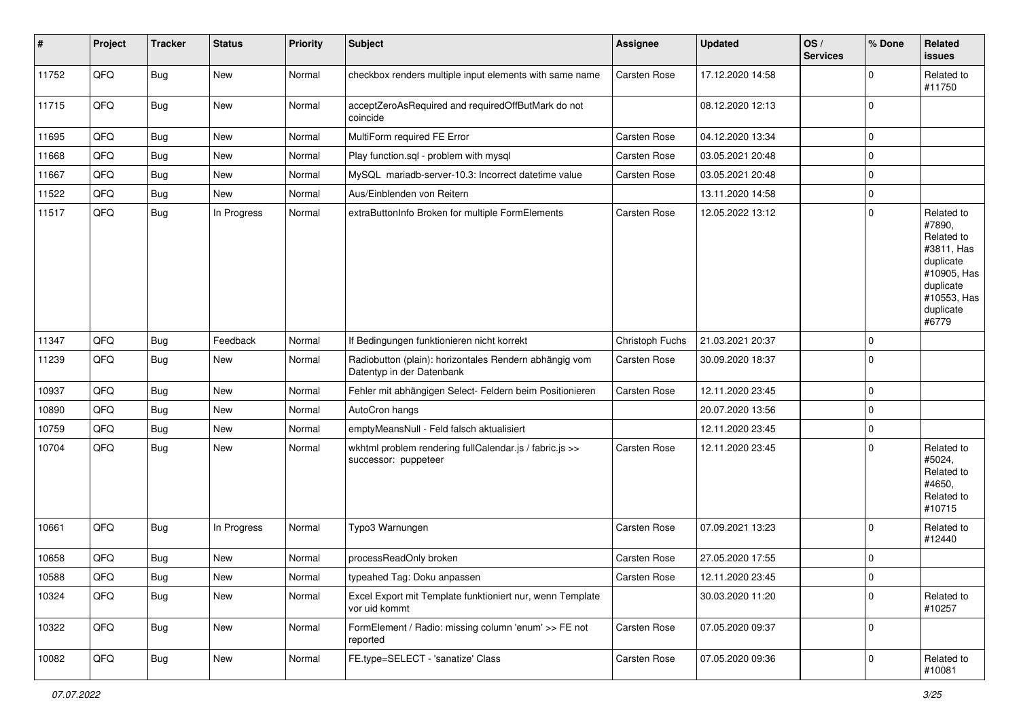| #     | Project        | <b>Tracker</b> | <b>Status</b> | <b>Priority</b> | <b>Subject</b>                                                                      | Assignee        | <b>Updated</b>   | OS/<br><b>Services</b> | % Done         | Related<br><b>issues</b>                                                                                                       |
|-------|----------------|----------------|---------------|-----------------|-------------------------------------------------------------------------------------|-----------------|------------------|------------------------|----------------|--------------------------------------------------------------------------------------------------------------------------------|
| 11752 | QFQ            | <b>Bug</b>     | New           | Normal          | checkbox renders multiple input elements with same name                             | Carsten Rose    | 17.12.2020 14:58 |                        | $\mathbf 0$    | Related to<br>#11750                                                                                                           |
| 11715 | QFQ            | <b>Bug</b>     | New           | Normal          | acceptZeroAsRequired and requiredOffButMark do not<br>coincide                      |                 | 08.12.2020 12:13 |                        | 0              |                                                                                                                                |
| 11695 | QFQ            | <b>Bug</b>     | New           | Normal          | MultiForm required FE Error                                                         | Carsten Rose    | 04.12.2020 13:34 |                        | 0              |                                                                                                                                |
| 11668 | QFQ            | <b>Bug</b>     | New           | Normal          | Play function.sql - problem with mysql                                              | Carsten Rose    | 03.05.2021 20:48 |                        | 0              |                                                                                                                                |
| 11667 | QFQ            | <b>Bug</b>     | New           | Normal          | MySQL mariadb-server-10.3: Incorrect datetime value                                 | Carsten Rose    | 03.05.2021 20:48 |                        | 0              |                                                                                                                                |
| 11522 | QFG            | <b>Bug</b>     | New           | Normal          | Aus/Einblenden von Reitern                                                          |                 | 13.11.2020 14:58 |                        | 0              |                                                                                                                                |
| 11517 | QFQ            | <b>Bug</b>     | In Progress   | Normal          | extraButtonInfo Broken for multiple FormElements                                    | Carsten Rose    | 12.05.2022 13:12 |                        | 0              | Related to<br>#7890,<br>Related to<br>#3811, Has<br>duplicate<br>#10905, Has<br>duplicate<br>#10553, Has<br>duplicate<br>#6779 |
| 11347 | QFQ            | <b>Bug</b>     | Feedback      | Normal          | If Bedingungen funktionieren nicht korrekt                                          | Christoph Fuchs | 21.03.2021 20:37 |                        | 0              |                                                                                                                                |
| 11239 | QFQ            | <b>Bug</b>     | New           | Normal          | Radiobutton (plain): horizontales Rendern abhängig vom<br>Datentyp in der Datenbank | Carsten Rose    | 30.09.2020 18:37 |                        | 0              |                                                                                                                                |
| 10937 | QFQ            | <b>Bug</b>     | New           | Normal          | Fehler mit abhängigen Select- Feldern beim Positionieren                            | Carsten Rose    | 12.11.2020 23:45 |                        | 0              |                                                                                                                                |
| 10890 | QFQ            | <b>Bug</b>     | New           | Normal          | AutoCron hangs                                                                      |                 | 20.07.2020 13:56 |                        | 0              |                                                                                                                                |
| 10759 | QFQ            | Bug            | New           | Normal          | emptyMeansNull - Feld falsch aktualisiert                                           |                 | 12.11.2020 23:45 |                        | 0              |                                                                                                                                |
| 10704 | QFQ            | <b>Bug</b>     | New           | Normal          | wkhtml problem rendering fullCalendar.js / fabric.js >><br>successor: puppeteer     | Carsten Rose    | 12.11.2020 23:45 |                        | 0              | Related to<br>#5024,<br>Related to<br>#4650,<br>Related to<br>#10715                                                           |
| 10661 | QFQ            | Bug            | In Progress   | Normal          | Typo3 Warnungen                                                                     | Carsten Rose    | 07.09.2021 13:23 |                        | 0              | Related to<br>#12440                                                                                                           |
| 10658 | QFQ            | <b>Bug</b>     | New           | Normal          | processReadOnly broken                                                              | Carsten Rose    | 27.05.2020 17:55 |                        | 0              |                                                                                                                                |
| 10588 | $\mathsf{QFQ}$ | <b>Bug</b>     | New           | Normal          | typeahed Tag: Doku anpassen                                                         | Carsten Rose    | 12.11.2020 23:45 |                        | 0              |                                                                                                                                |
| 10324 | QFQ            | <b>Bug</b>     | New           | Normal          | Excel Export mit Template funktioniert nur, wenn Template<br>vor uid kommt          |                 | 30.03.2020 11:20 |                        | $\overline{0}$ | Related to<br>#10257                                                                                                           |
| 10322 | QFQ            | Bug            | New           | Normal          | FormElement / Radio: missing column 'enum' >> FE not<br>reported                    | Carsten Rose    | 07.05.2020 09:37 |                        | $\overline{0}$ |                                                                                                                                |
| 10082 | QFQ            | <b>Bug</b>     | New           | Normal          | FE.type=SELECT - 'sanatize' Class                                                   | Carsten Rose    | 07.05.2020 09:36 |                        | $\overline{0}$ | Related to<br>#10081                                                                                                           |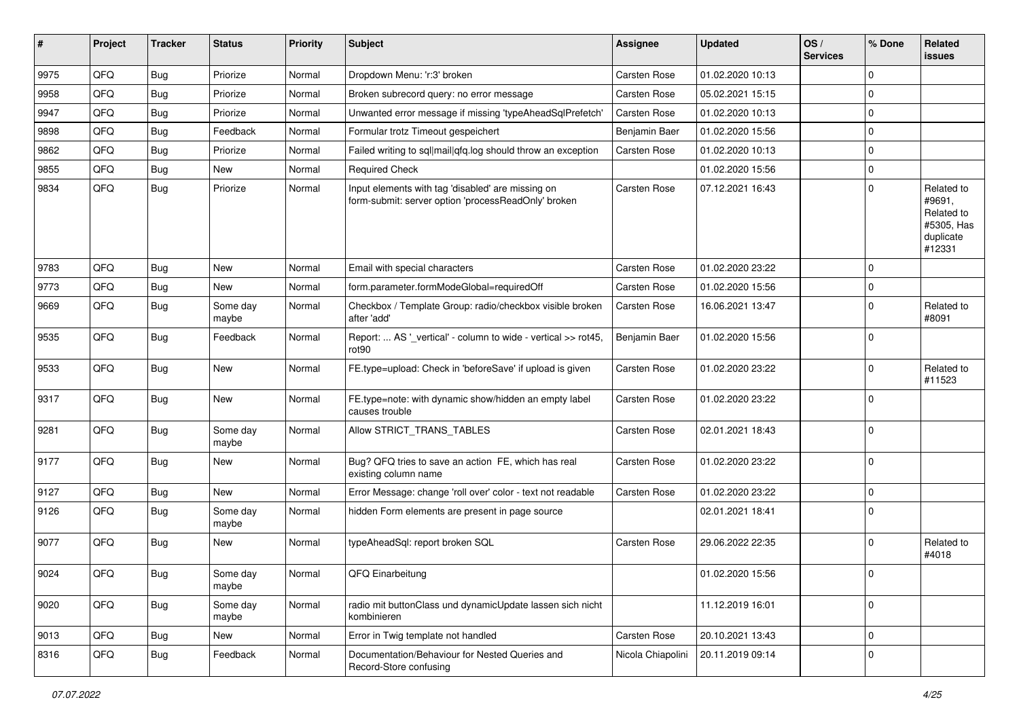| #    | Project | <b>Tracker</b> | <b>Status</b>     | <b>Priority</b> | <b>Subject</b>                                                                                           | Assignee          | <b>Updated</b>   | OS/<br><b>Services</b> | % Done      | Related<br><b>issues</b>                                                |
|------|---------|----------------|-------------------|-----------------|----------------------------------------------------------------------------------------------------------|-------------------|------------------|------------------------|-------------|-------------------------------------------------------------------------|
| 9975 | QFQ     | <b>Bug</b>     | Priorize          | Normal          | Dropdown Menu: 'r:3' broken                                                                              | Carsten Rose      | 01.02.2020 10:13 |                        | $\mathbf 0$ |                                                                         |
| 9958 | QFQ     | <b>Bug</b>     | Priorize          | Normal          | Broken subrecord query: no error message                                                                 | Carsten Rose      | 05.02.2021 15:15 |                        | 0           |                                                                         |
| 9947 | QFQ     | <b>Bug</b>     | Priorize          | Normal          | Unwanted error message if missing 'typeAheadSqlPrefetch'                                                 | Carsten Rose      | 01.02.2020 10:13 |                        | 0           |                                                                         |
| 9898 | QFQ     | <b>Bug</b>     | Feedback          | Normal          | Formular trotz Timeout gespeichert                                                                       | Benjamin Baer     | 01.02.2020 15:56 |                        | 0           |                                                                         |
| 9862 | QFQ     | <b>Bug</b>     | Priorize          | Normal          | Failed writing to sql mail qfq.log should throw an exception                                             | Carsten Rose      | 01.02.2020 10:13 |                        | $\mathbf 0$ |                                                                         |
| 9855 | QFQ     | <b>Bug</b>     | New               | Normal          | <b>Required Check</b>                                                                                    |                   | 01.02.2020 15:56 |                        | 0           |                                                                         |
| 9834 | QFQ     | <b>Bug</b>     | Priorize          | Normal          | Input elements with tag 'disabled' are missing on<br>form-submit: server option 'processReadOnly' broken | Carsten Rose      | 07.12.2021 16:43 |                        | 0           | Related to<br>#9691,<br>Related to<br>#5305, Has<br>duplicate<br>#12331 |
| 9783 | QFQ     | Bug            | New               | Normal          | Email with special characters                                                                            | Carsten Rose      | 01.02.2020 23:22 |                        | 0           |                                                                         |
| 9773 | QFQ     | Bug            | New               | Normal          | form.parameter.formModeGlobal=requiredOff                                                                | Carsten Rose      | 01.02.2020 15:56 |                        | 0           |                                                                         |
| 9669 | QFQ     | <b>Bug</b>     | Some day<br>maybe | Normal          | Checkbox / Template Group: radio/checkbox visible broken<br>after 'add'                                  | Carsten Rose      | 16.06.2021 13:47 |                        | 0           | Related to<br>#8091                                                     |
| 9535 | QFQ     | Bug            | Feedback          | Normal          | Report:  AS '_vertical' - column to wide - vertical >> rot45,<br>rot90                                   | Benjamin Baer     | 01.02.2020 15:56 |                        | 0           |                                                                         |
| 9533 | QFQ     | <b>Bug</b>     | New               | Normal          | FE.type=upload: Check in 'beforeSave' if upload is given                                                 | Carsten Rose      | 01.02.2020 23:22 |                        | $\mathbf 0$ | Related to<br>#11523                                                    |
| 9317 | QFQ     | Bug            | New               | Normal          | FE.type=note: with dynamic show/hidden an empty label<br>causes trouble                                  | Carsten Rose      | 01.02.2020 23:22 |                        | 0           |                                                                         |
| 9281 | QFQ     | <b>Bug</b>     | Some day<br>maybe | Normal          | Allow STRICT_TRANS_TABLES                                                                                | Carsten Rose      | 02.01.2021 18:43 |                        | 0           |                                                                         |
| 9177 | QFQ     | Bug            | New               | Normal          | Bug? QFQ tries to save an action FE, which has real<br>existing column name                              | Carsten Rose      | 01.02.2020 23:22 |                        | 0           |                                                                         |
| 9127 | QFQ     | Bug            | New               | Normal          | Error Message: change 'roll over' color - text not readable                                              | Carsten Rose      | 01.02.2020 23:22 |                        | $\mathbf 0$ |                                                                         |
| 9126 | QFQ     | <b>Bug</b>     | Some day<br>maybe | Normal          | hidden Form elements are present in page source                                                          |                   | 02.01.2021 18:41 |                        | 0           |                                                                         |
| 9077 | QFQ     | <b>Bug</b>     | New               | Normal          | typeAheadSql: report broken SQL                                                                          | Carsten Rose      | 29.06.2022 22:35 |                        | $\mathbf 0$ | Related to<br>#4018                                                     |
| 9024 | QFQ     | Bug            | Some day<br>maybe | Normal          | QFQ Einarbeitung                                                                                         |                   | 01.02.2020 15:56 |                        | 0           |                                                                         |
| 9020 | QFQ     | <b>Bug</b>     | Some day<br>maybe | Normal          | radio mit buttonClass und dynamicUpdate lassen sich nicht<br>kombinieren                                 |                   | 11.12.2019 16:01 |                        | 0           |                                                                         |
| 9013 | QFQ     | <b>Bug</b>     | New               | Normal          | Error in Twig template not handled                                                                       | Carsten Rose      | 20.10.2021 13:43 |                        | 0           |                                                                         |
| 8316 | QFQ     | <b>Bug</b>     | Feedback          | Normal          | Documentation/Behaviour for Nested Queries and<br>Record-Store confusing                                 | Nicola Chiapolini | 20.11.2019 09:14 |                        | 0           |                                                                         |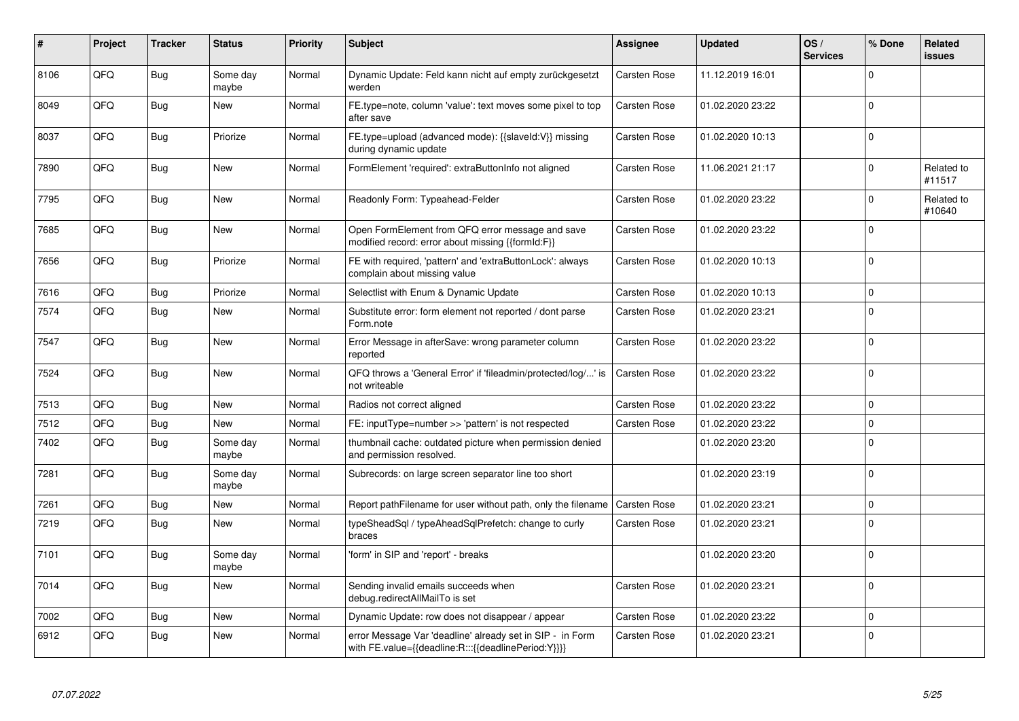| #    | Project | <b>Tracker</b> | <b>Status</b>     | <b>Priority</b> | <b>Subject</b>                                                                                                   | <b>Assignee</b>     | <b>Updated</b>   | OS/<br><b>Services</b> | % Done   | <b>Related</b><br>issues |
|------|---------|----------------|-------------------|-----------------|------------------------------------------------------------------------------------------------------------------|---------------------|------------------|------------------------|----------|--------------------------|
| 8106 | QFQ     | <b>Bug</b>     | Some day<br>maybe | Normal          | Dynamic Update: Feld kann nicht auf empty zurückgesetzt<br>werden                                                | <b>Carsten Rose</b> | 11.12.2019 16:01 |                        | $\Omega$ |                          |
| 8049 | QFQ     | <b>Bug</b>     | <b>New</b>        | Normal          | FE.type=note, column 'value': text moves some pixel to top<br>after save                                         | Carsten Rose        | 01.02.2020 23:22 |                        | $\Omega$ |                          |
| 8037 | QFQ     | <b>Bug</b>     | Priorize          | Normal          | FE.type=upload (advanced mode): {{slaveId:V}} missing<br>during dynamic update                                   | Carsten Rose        | 01.02.2020 10:13 |                        | $\Omega$ |                          |
| 7890 | QFQ     | <b>Bug</b>     | <b>New</b>        | Normal          | FormElement 'required': extraButtonInfo not aligned                                                              | Carsten Rose        | 11.06.2021 21:17 |                        | $\Omega$ | Related to<br>#11517     |
| 7795 | QFQ     | <b>Bug</b>     | <b>New</b>        | Normal          | Readonly Form: Typeahead-Felder                                                                                  | Carsten Rose        | 01.02.2020 23:22 |                        | $\Omega$ | Related to<br>#10640     |
| 7685 | QFQ     | <b>Bug</b>     | <b>New</b>        | Normal          | Open FormElement from QFQ error message and save<br>modified record: error about missing {{formId:F}}            | Carsten Rose        | 01.02.2020 23:22 |                        | $\Omega$ |                          |
| 7656 | QFQ     | <b>Bug</b>     | Priorize          | Normal          | FE with required, 'pattern' and 'extraButtonLock': always<br>complain about missing value                        | Carsten Rose        | 01.02.2020 10:13 |                        | $\Omega$ |                          |
| 7616 | QFQ     | <b>Bug</b>     | Priorize          | Normal          | Selectlist with Enum & Dynamic Update                                                                            | Carsten Rose        | 01.02.2020 10:13 |                        | $\Omega$ |                          |
| 7574 | QFQ     | <b>Bug</b>     | New               | Normal          | Substitute error: form element not reported / dont parse<br>Form.note                                            | Carsten Rose        | 01.02.2020 23:21 |                        | $\Omega$ |                          |
| 7547 | QFQ     | Bug            | <b>New</b>        | Normal          | Error Message in afterSave: wrong parameter column<br>reported                                                   | Carsten Rose        | 01.02.2020 23:22 |                        | $\Omega$ |                          |
| 7524 | QFQ     | <b>Bug</b>     | <b>New</b>        | Normal          | QFQ throws a 'General Error' if 'fileadmin/protected/log/' is<br>not writeable                                   | Carsten Rose        | 01.02.2020 23:22 |                        | $\Omega$ |                          |
| 7513 | QFQ     | <b>Bug</b>     | <b>New</b>        | Normal          | Radios not correct aligned                                                                                       | Carsten Rose        | 01.02.2020 23:22 |                        | $\Omega$ |                          |
| 7512 | QFQ     | <b>Bug</b>     | New               | Normal          | FE: inputType=number >> 'pattern' is not respected                                                               | <b>Carsten Rose</b> | 01.02.2020 23:22 |                        | $\Omega$ |                          |
| 7402 | QFQ     | <b>Bug</b>     | Some day<br>maybe | Normal          | thumbnail cache: outdated picture when permission denied<br>and permission resolved.                             |                     | 01.02.2020 23:20 |                        | $\Omega$ |                          |
| 7281 | QFQ     | <b>Bug</b>     | Some day<br>maybe | Normal          | Subrecords: on large screen separator line too short                                                             |                     | 01.02.2020 23:19 |                        | $\Omega$ |                          |
| 7261 | QFQ     | <b>Bug</b>     | <b>New</b>        | Normal          | Report pathFilename for user without path, only the filename                                                     | <b>Carsten Rose</b> | 01.02.2020 23:21 |                        | 0        |                          |
| 7219 | QFQ     | <b>Bug</b>     | <b>New</b>        | Normal          | typeSheadSql / typeAheadSqlPrefetch: change to curly<br>braces                                                   | Carsten Rose        | 01.02.2020 23:21 |                        | $\Omega$ |                          |
| 7101 | QFQ     | <b>Bug</b>     | Some day<br>maybe | Normal          | 'form' in SIP and 'report' - breaks                                                                              |                     | 01.02.2020 23:20 |                        | $\Omega$ |                          |
| 7014 | QFQ     | <b>Bug</b>     | <b>New</b>        | Normal          | Sending invalid emails succeeds when<br>debug.redirectAllMailTo is set                                           | Carsten Rose        | 01.02.2020 23:21 |                        | $\Omega$ |                          |
| 7002 | QFQ     | <b>Bug</b>     | <b>New</b>        | Normal          | Dynamic Update: row does not disappear / appear                                                                  | <b>Carsten Rose</b> | 01.02.2020 23:22 |                        | $\Omega$ |                          |
| 6912 | QFQ     | <b>Bug</b>     | New               | Normal          | error Message Var 'deadline' already set in SIP - in Form<br>with FE.value={{deadline:R:::{{deadlinePeriod:Y}}}} | Carsten Rose        | 01.02.2020 23:21 |                        | $\Omega$ |                          |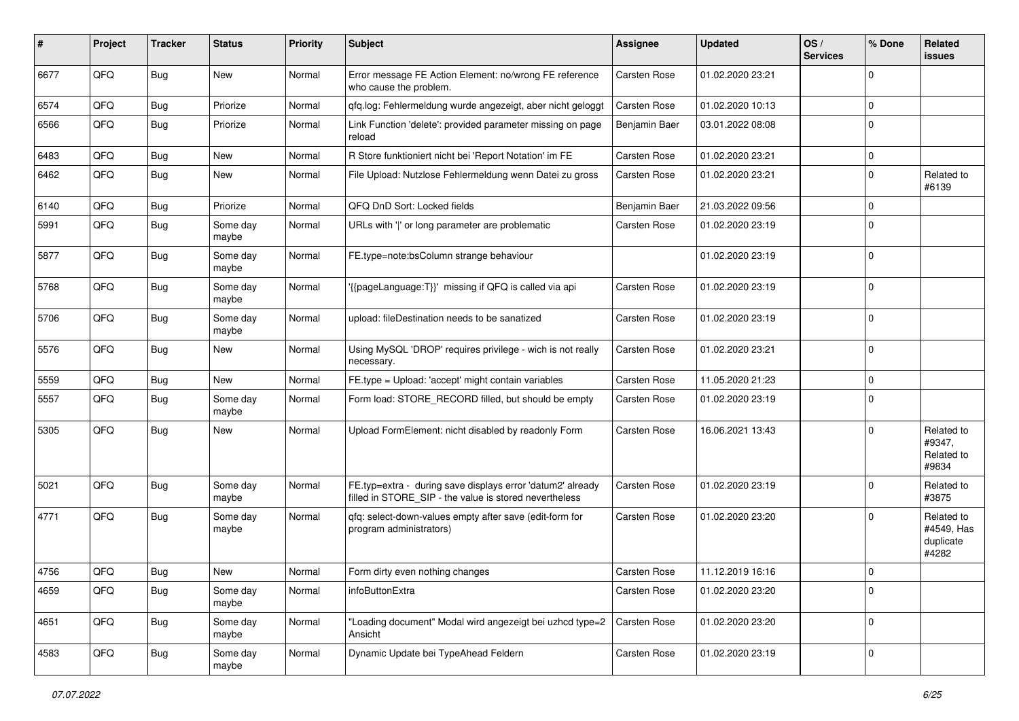| #    | Project | <b>Tracker</b> | <b>Status</b>     | <b>Priority</b> | <b>Subject</b>                                                                                                       | <b>Assignee</b> | <b>Updated</b>   | OS/<br><b>Services</b> | % Done      | Related<br>issues                              |
|------|---------|----------------|-------------------|-----------------|----------------------------------------------------------------------------------------------------------------------|-----------------|------------------|------------------------|-------------|------------------------------------------------|
| 6677 | QFQ     | <b>Bug</b>     | New               | Normal          | Error message FE Action Element: no/wrong FE reference<br>who cause the problem.                                     | Carsten Rose    | 01.02.2020 23:21 |                        | $\Omega$    |                                                |
| 6574 | QFQ     | <b>Bug</b>     | Priorize          | Normal          | qfq.log: Fehlermeldung wurde angezeigt, aber nicht geloggt                                                           | Carsten Rose    | 01.02.2020 10:13 |                        | $\Omega$    |                                                |
| 6566 | QFQ     | <b>Bug</b>     | Priorize          | Normal          | Link Function 'delete': provided parameter missing on page<br>reload                                                 | Benjamin Baer   | 03.01.2022 08:08 |                        | $\mathbf 0$ |                                                |
| 6483 | QFQ     | Bug            | New               | Normal          | R Store funktioniert nicht bei 'Report Notation' im FE                                                               | Carsten Rose    | 01.02.2020 23:21 |                        | $\mathbf 0$ |                                                |
| 6462 | QFQ     | <b>Bug</b>     | New               | Normal          | File Upload: Nutzlose Fehlermeldung wenn Datei zu gross                                                              | Carsten Rose    | 01.02.2020 23:21 |                        | $\Omega$    | Related to<br>#6139                            |
| 6140 | QFQ     | <b>Bug</b>     | Priorize          | Normal          | QFQ DnD Sort: Locked fields                                                                                          | Benjamin Baer   | 21.03.2022 09:56 |                        | $\mathbf 0$ |                                                |
| 5991 | QFQ     | <b>Bug</b>     | Some day<br>maybe | Normal          | URLs with ' ' or long parameter are problematic                                                                      | Carsten Rose    | 01.02.2020 23:19 |                        | $\mathbf 0$ |                                                |
| 5877 | QFQ     | <b>Bug</b>     | Some day<br>maybe | Normal          | FE.type=note:bsColumn strange behaviour                                                                              |                 | 01.02.2020 23:19 |                        | $\mathbf 0$ |                                                |
| 5768 | QFQ     | <b>Bug</b>     | Some day<br>maybe | Normal          | '{{pageLanguage:T}}' missing if QFQ is called via api                                                                | Carsten Rose    | 01.02.2020 23:19 |                        | $\Omega$    |                                                |
| 5706 | QFQ     | <b>Bug</b>     | Some day<br>maybe | Normal          | upload: fileDestination needs to be sanatized                                                                        | Carsten Rose    | 01.02.2020 23:19 |                        | $\Omega$    |                                                |
| 5576 | QFQ     | Bug            | New               | Normal          | Using MySQL 'DROP' requires privilege - wich is not really<br>necessary.                                             | Carsten Rose    | 01.02.2020 23:21 |                        | $\mathbf 0$ |                                                |
| 5559 | QFQ     | <b>Bug</b>     | New               | Normal          | FE.type = Upload: 'accept' might contain variables                                                                   | Carsten Rose    | 11.05.2020 21:23 |                        | $\mathbf 0$ |                                                |
| 5557 | QFQ     | <b>Bug</b>     | Some day<br>maybe | Normal          | Form load: STORE_RECORD filled, but should be empty                                                                  | Carsten Rose    | 01.02.2020 23:19 |                        | $\Omega$    |                                                |
| 5305 | QFQ     | <b>Bug</b>     | New               | Normal          | Upload FormElement: nicht disabled by readonly Form                                                                  | Carsten Rose    | 16.06.2021 13:43 |                        | $\Omega$    | Related to<br>#9347,<br>Related to<br>#9834    |
| 5021 | QFQ     | <b>Bug</b>     | Some day<br>maybe | Normal          | FE.typ=extra - during save displays error 'datum2' already<br>filled in STORE_SIP - the value is stored nevertheless | Carsten Rose    | 01.02.2020 23:19 |                        | $\Omega$    | Related to<br>#3875                            |
| 4771 | QFQ     | <b>Bug</b>     | Some day<br>maybe | Normal          | qfq: select-down-values empty after save (edit-form for<br>program administrators)                                   | Carsten Rose    | 01.02.2020 23:20 |                        | $\Omega$    | Related to<br>#4549, Has<br>duplicate<br>#4282 |
| 4756 | QFQ     | <b>Bug</b>     | New               | Normal          | Form dirty even nothing changes                                                                                      | Carsten Rose    | 11.12.2019 16:16 |                        | 0           |                                                |
| 4659 | QFQ     | <b>Bug</b>     | Some day<br>maybe | Normal          | infoButtonExtra                                                                                                      | Carsten Rose    | 01.02.2020 23:20 |                        | $\mathbf 0$ |                                                |
| 4651 | QFQ     | <b>Bug</b>     | Some day<br>maybe | Normal          | "Loading document" Modal wird angezeigt bei uzhcd type=2<br>Ansicht                                                  | Carsten Rose    | 01.02.2020 23:20 |                        | $\mathbf 0$ |                                                |
| 4583 | QFQ     | Bug            | Some day<br>maybe | Normal          | Dynamic Update bei TypeAhead Feldern                                                                                 | Carsten Rose    | 01.02.2020 23:19 |                        | $\mathbf 0$ |                                                |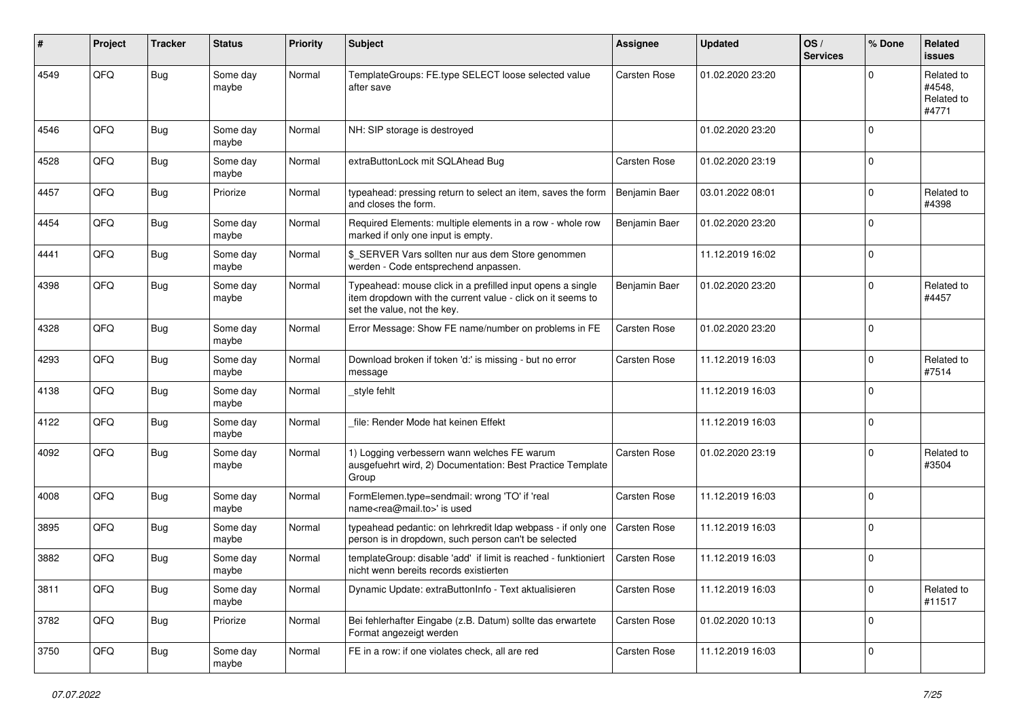| #    | Project | <b>Tracker</b> | <b>Status</b>     | <b>Priority</b> | <b>Subject</b>                                                                                                                                           | Assignee            | <b>Updated</b>   | OS/<br><b>Services</b> | % Done      | Related<br><b>issues</b>                    |
|------|---------|----------------|-------------------|-----------------|----------------------------------------------------------------------------------------------------------------------------------------------------------|---------------------|------------------|------------------------|-------------|---------------------------------------------|
| 4549 | QFQ     | <b>Bug</b>     | Some day<br>maybe | Normal          | TemplateGroups: FE.type SELECT loose selected value<br>after save                                                                                        | <b>Carsten Rose</b> | 01.02.2020 23:20 |                        | ŋ           | Related to<br>#4548,<br>Related to<br>#4771 |
| 4546 | QFQ     | <b>Bug</b>     | Some day<br>maybe | Normal          | NH: SIP storage is destroyed                                                                                                                             |                     | 01.02.2020 23:20 |                        | $\Omega$    |                                             |
| 4528 | QFQ     | <b>Bug</b>     | Some day<br>maybe | Normal          | extraButtonLock mit SQLAhead Bug                                                                                                                         | Carsten Rose        | 01.02.2020 23:19 |                        | $\mathbf 0$ |                                             |
| 4457 | QFQ     | Bug            | Priorize          | Normal          | typeahead: pressing return to select an item, saves the form<br>and closes the form.                                                                     | Benjamin Baer       | 03.01.2022 08:01 |                        | $\mathbf 0$ | Related to<br>#4398                         |
| 4454 | QFQ     | <b>Bug</b>     | Some day<br>maybe | Normal          | Required Elements: multiple elements in a row - whole row<br>marked if only one input is empty.                                                          | Benjamin Baer       | 01.02.2020 23:20 |                        | $\Omega$    |                                             |
| 4441 | QFQ     | <b>Bug</b>     | Some day<br>maybe | Normal          | \$ SERVER Vars sollten nur aus dem Store genommen<br>werden - Code entsprechend anpassen.                                                                |                     | 11.12.2019 16:02 |                        | $\Omega$    |                                             |
| 4398 | QFQ     | <b>Bug</b>     | Some day<br>maybe | Normal          | Typeahead: mouse click in a prefilled input opens a single<br>item dropdown with the current value - click on it seems to<br>set the value, not the key. | Benjamin Baer       | 01.02.2020 23:20 |                        | $\Omega$    | Related to<br>#4457                         |
| 4328 | QFQ     | <b>Bug</b>     | Some day<br>maybe | Normal          | Error Message: Show FE name/number on problems in FE                                                                                                     | Carsten Rose        | 01.02.2020 23:20 |                        | $\Omega$    |                                             |
| 4293 | QFQ     | Bug            | Some day<br>maybe | Normal          | Download broken if token 'd:' is missing - but no error<br>message                                                                                       | Carsten Rose        | 11.12.2019 16:03 |                        | $\Omega$    | Related to<br>#7514                         |
| 4138 | QFQ     | <b>Bug</b>     | Some day<br>maybe | Normal          | style fehlt                                                                                                                                              |                     | 11.12.2019 16:03 |                        | $\Omega$    |                                             |
| 4122 | QFQ     | Bug            | Some day<br>maybe | Normal          | file: Render Mode hat keinen Effekt                                                                                                                      |                     | 11.12.2019 16:03 |                        | $\mathbf 0$ |                                             |
| 4092 | QFQ     | Bug            | Some day<br>maybe | Normal          | 1) Logging verbessern wann welches FE warum<br>ausgefuehrt wird, 2) Documentation: Best Practice Template<br>Group                                       | <b>Carsten Rose</b> | 01.02.2020 23:19 |                        | $\mathbf 0$ | Related to<br>#3504                         |
| 4008 | QFQ     | <b>Bug</b>     | Some day<br>maybe | Normal          | FormElemen.type=sendmail: wrong 'TO' if 'real<br>name <rea@mail.to>' is used</rea@mail.to>                                                               | <b>Carsten Rose</b> | 11.12.2019 16:03 |                        | $\mathbf 0$ |                                             |
| 3895 | QFQ     | <b>Bug</b>     | Some day<br>maybe | Normal          | typeahead pedantic: on lehrkredit Idap webpass - if only one<br>person is in dropdown, such person can't be selected                                     | <b>Carsten Rose</b> | 11.12.2019 16:03 |                        | $\mathbf 0$ |                                             |
| 3882 | QFQ     | <b>Bug</b>     | Some day<br>maybe | Normal          | templateGroup: disable 'add' if limit is reached - funktioniert<br>nicht wenn bereits records existierten                                                | Carsten Rose        | 11.12.2019 16:03 |                        | $\Omega$    |                                             |
| 3811 | QFQ     | <b>Bug</b>     | Some day<br>maybe | Normal          | Dynamic Update: extraButtonInfo - Text aktualisieren                                                                                                     | Carsten Rose        | 11.12.2019 16:03 |                        | 0           | Related to<br>#11517                        |
| 3782 | QFQ     | Bug            | Priorize          | Normal          | Bei fehlerhafter Eingabe (z.B. Datum) sollte das erwartete<br>Format angezeigt werden                                                                    | Carsten Rose        | 01.02.2020 10:13 |                        | 0           |                                             |
| 3750 | QFQ     | Bug            | Some day<br>maybe | Normal          | FE in a row: if one violates check, all are red                                                                                                          | Carsten Rose        | 11.12.2019 16:03 |                        | $\mathbf 0$ |                                             |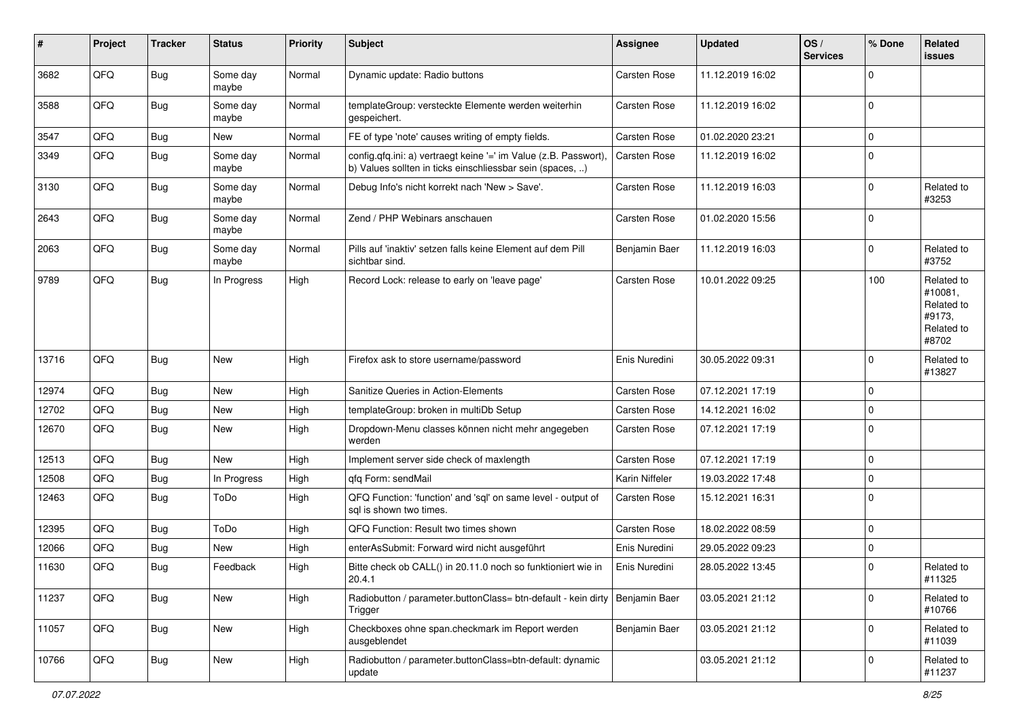| ∦     | Project | <b>Tracker</b> | <b>Status</b>     | <b>Priority</b> | Subject                                                                                                                       | <b>Assignee</b>     | <b>Updated</b>   | OS/<br><b>Services</b> | % Done              | Related<br><b>issues</b>                                             |
|-------|---------|----------------|-------------------|-----------------|-------------------------------------------------------------------------------------------------------------------------------|---------------------|------------------|------------------------|---------------------|----------------------------------------------------------------------|
| 3682  | QFQ     | Bug            | Some day<br>maybe | Normal          | Dynamic update: Radio buttons                                                                                                 | <b>Carsten Rose</b> | 11.12.2019 16:02 |                        | $\mathbf 0$         |                                                                      |
| 3588  | QFQ     | Bug            | Some day<br>maybe | Normal          | templateGroup: versteckte Elemente werden weiterhin<br>gespeichert.                                                           | <b>Carsten Rose</b> | 11.12.2019 16:02 |                        | $\mathbf 0$         |                                                                      |
| 3547  | QFQ     | <b>Bug</b>     | New               | Normal          | FE of type 'note' causes writing of empty fields.                                                                             | <b>Carsten Rose</b> | 01.02.2020 23:21 |                        | $\mathbf 0$         |                                                                      |
| 3349  | QFQ     | <b>Bug</b>     | Some day<br>maybe | Normal          | config.qfq.ini: a) vertraegt keine '=' im Value (z.B. Passwort),<br>b) Values sollten in ticks einschliessbar sein (spaces, ) | Carsten Rose        | 11.12.2019 16:02 |                        | $\mathbf 0$         |                                                                      |
| 3130  | QFQ     | Bug            | Some day<br>maybe | Normal          | Debug Info's nicht korrekt nach 'New > Save'.                                                                                 | <b>Carsten Rose</b> | 11.12.2019 16:03 |                        | $\mathbf 0$         | Related to<br>#3253                                                  |
| 2643  | QFQ     | Bug            | Some day<br>maybe | Normal          | Zend / PHP Webinars anschauen                                                                                                 | <b>Carsten Rose</b> | 01.02.2020 15:56 |                        | $\mathbf 0$         |                                                                      |
| 2063  | QFQ     | <b>Bug</b>     | Some day<br>maybe | Normal          | Pills auf 'inaktiv' setzen falls keine Element auf dem Pill<br>sichtbar sind.                                                 | Benjamin Baer       | 11.12.2019 16:03 |                        | $\mathbf 0$         | Related to<br>#3752                                                  |
| 9789  | QFQ     | Bug            | In Progress       | High            | Record Lock: release to early on 'leave page'                                                                                 | <b>Carsten Rose</b> | 10.01.2022 09:25 |                        | 100                 | Related to<br>#10081,<br>Related to<br>#9173,<br>Related to<br>#8702 |
| 13716 | QFQ     | <b>Bug</b>     | <b>New</b>        | High            | Firefox ask to store username/password                                                                                        | Enis Nuredini       | 30.05.2022 09:31 |                        | $\mathbf 0$         | Related to<br>#13827                                                 |
| 12974 | QFQ     | <b>Bug</b>     | New               | High            | Sanitize Queries in Action-Elements                                                                                           | <b>Carsten Rose</b> | 07.12.2021 17:19 |                        | $\mathbf 0$         |                                                                      |
| 12702 | QFQ     | <b>Bug</b>     | <b>New</b>        | High            | templateGroup: broken in multiDb Setup                                                                                        | Carsten Rose        | 14.12.2021 16:02 |                        | $\mathbf 0$         |                                                                      |
| 12670 | QFQ     | <b>Bug</b>     | New               | High            | Dropdown-Menu classes können nicht mehr angegeben<br>werden                                                                   | <b>Carsten Rose</b> | 07.12.2021 17:19 |                        | $\mathbf 0$         |                                                                      |
| 12513 | QFQ     | <b>Bug</b>     | New               | High            | Implement server side check of maxlength                                                                                      | <b>Carsten Rose</b> | 07.12.2021 17:19 |                        | $\mathbf 0$         |                                                                      |
| 12508 | QFQ     | Bug            | In Progress       | High            | qfq Form: sendMail                                                                                                            | Karin Niffeler      | 19.03.2022 17:48 |                        | $\mathsf{O}\xspace$ |                                                                      |
| 12463 | QFQ     | <b>Bug</b>     | ToDo              | High            | QFQ Function: 'function' and 'sql' on same level - output of<br>sql is shown two times.                                       | <b>Carsten Rose</b> | 15.12.2021 16:31 |                        | $\mathbf 0$         |                                                                      |
| 12395 | QFQ     | <b>Bug</b>     | ToDo              | High            | QFQ Function: Result two times shown                                                                                          | <b>Carsten Rose</b> | 18.02.2022 08:59 |                        | $\mathbf 0$         |                                                                      |
| 12066 | QFQ     | <b>Bug</b>     | <b>New</b>        | High            | enterAsSubmit: Forward wird nicht ausgeführt                                                                                  | Enis Nuredini       | 29.05.2022 09:23 |                        | $\mathbf 0$         |                                                                      |
| 11630 | QFQ     | <b>Bug</b>     | Feedback          | High            | Bitte check ob CALL() in 20.11.0 noch so funktioniert wie in<br>20.4.1                                                        | Enis Nuredini       | 28.05.2022 13:45 |                        | $\mathbf 0$         | Related to<br>#11325                                                 |
| 11237 | QFQ     | <b>Bug</b>     | New               | High            | Radiobutton / parameter.buttonClass= btn-default - kein dirty<br>Trigger                                                      | Benjamin Baer       | 03.05.2021 21:12 |                        | $\mathbf 0$         | Related to<br>#10766                                                 |
| 11057 | QFG     | <b>Bug</b>     | New               | High            | Checkboxes ohne span.checkmark im Report werden<br>ausgeblendet                                                               | Benjamin Baer       | 03.05.2021 21:12 |                        | $\mathbf 0$         | Related to<br>#11039                                                 |
| 10766 | QFQ     | <b>Bug</b>     | New               | High            | Radiobutton / parameter.buttonClass=btn-default: dynamic<br>update                                                            |                     | 03.05.2021 21:12 |                        | $\mathbf 0$         | Related to<br>#11237                                                 |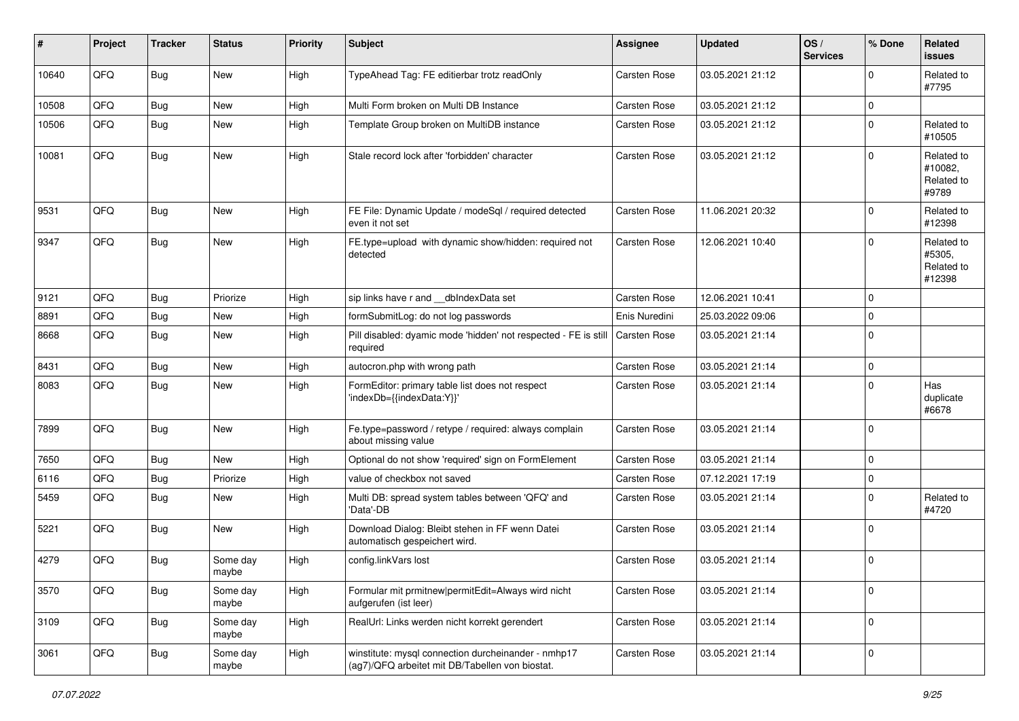| $\sharp$ | Project | <b>Tracker</b> | <b>Status</b>     | <b>Priority</b> | <b>Subject</b>                                                                                         | Assignee            | <b>Updated</b>   | OS/<br><b>Services</b> | % Done      | Related<br><b>issues</b>                     |
|----------|---------|----------------|-------------------|-----------------|--------------------------------------------------------------------------------------------------------|---------------------|------------------|------------------------|-------------|----------------------------------------------|
| 10640    | QFQ     | <b>Bug</b>     | New               | High            | TypeAhead Tag: FE editierbar trotz readOnly                                                            | <b>Carsten Rose</b> | 03.05.2021 21:12 |                        | $\mathbf 0$ | Related to<br>#7795                          |
| 10508    | QFQ     | <b>Bug</b>     | New               | High            | Multi Form broken on Multi DB Instance                                                                 | Carsten Rose        | 03.05.2021 21:12 |                        | 0           |                                              |
| 10506    | QFQ     | <b>Bug</b>     | New               | High            | Template Group broken on MultiDB instance                                                              | Carsten Rose        | 03.05.2021 21:12 |                        | 0           | Related to<br>#10505                         |
| 10081    | QFQ     | <b>Bug</b>     | New               | High            | Stale record lock after 'forbidden' character                                                          | Carsten Rose        | 03.05.2021 21:12 |                        | 0           | Related to<br>#10082,<br>Related to<br>#9789 |
| 9531     | QFQ     | Bug            | New               | High            | FE File: Dynamic Update / modeSql / required detected<br>even it not set                               | Carsten Rose        | 11.06.2021 20:32 |                        | 0           | Related to<br>#12398                         |
| 9347     | QFQ     | <b>Bug</b>     | New               | High            | FE.type=upload with dynamic show/hidden: required not<br>detected                                      | Carsten Rose        | 12.06.2021 10:40 |                        | 0           | Related to<br>#5305,<br>Related to<br>#12398 |
| 9121     | QFQ     | Bug            | Priorize          | High            | sip links have r and dblndexData set                                                                   | Carsten Rose        | 12.06.2021 10:41 |                        | 0           |                                              |
| 8891     | QFQ     | Bug            | New               | High            | formSubmitLog: do not log passwords                                                                    | Enis Nuredini       | 25.03.2022 09:06 |                        | 0           |                                              |
| 8668     | QFQ     | <b>Bug</b>     | New               | High            | Pill disabled: dyamic mode 'hidden' not respected - FE is still<br>required                            | Carsten Rose        | 03.05.2021 21:14 |                        | 0           |                                              |
| 8431     | QFQ     | <b>Bug</b>     | <b>New</b>        | High            | autocron.php with wrong path                                                                           | Carsten Rose        | 03.05.2021 21:14 |                        | 0           |                                              |
| 8083     | QFQ     | Bug            | New               | High            | FormEditor: primary table list does not respect<br>'indexDb={{indexData:Y}}'                           | Carsten Rose        | 03.05.2021 21:14 |                        | 0           | Has<br>duplicate<br>#6678                    |
| 7899     | QFQ     | Bug            | New               | High            | Fe.type=password / retype / required: always complain<br>about missing value                           | <b>Carsten Rose</b> | 03.05.2021 21:14 |                        | 0           |                                              |
| 7650     | QFQ     | <b>Bug</b>     | New               | High            | Optional do not show 'required' sign on FormElement                                                    | <b>Carsten Rose</b> | 03.05.2021 21:14 |                        | 0           |                                              |
| 6116     | QFQ     | <b>Bug</b>     | Priorize          | High            | value of checkbox not saved                                                                            | Carsten Rose        | 07.12.2021 17:19 |                        | 0           |                                              |
| 5459     | QFQ     | Bug            | New               | High            | Multi DB: spread system tables between 'QFQ' and<br>'Data'-DB                                          | Carsten Rose        | 03.05.2021 21:14 |                        | 0           | Related to<br>#4720                          |
| 5221     | QFQ     | <b>Bug</b>     | New               | High            | Download Dialog: Bleibt stehen in FF wenn Datei<br>automatisch gespeichert wird.                       | Carsten Rose        | 03.05.2021 21:14 |                        | 0           |                                              |
| 4279     | QFQ     | <b>Bug</b>     | Some day<br>maybe | High            | config.linkVars lost                                                                                   | Carsten Rose        | 03.05.2021 21:14 |                        | 0           |                                              |
| 3570     | QFQ     | <b>Bug</b>     | Some day<br>maybe | High            | Formular mit prmitnew permitEdit=Always wird nicht<br>aufgerufen (ist leer)                            | Carsten Rose        | 03.05.2021 21:14 |                        | 0           |                                              |
| 3109     | QFQ     | <b>Bug</b>     | Some day<br>maybe | High            | RealUrl: Links werden nicht korrekt gerendert                                                          | Carsten Rose        | 03.05.2021 21:14 |                        | 0           |                                              |
| 3061     | QFQ     | <b>Bug</b>     | Some day<br>maybe | High            | winstitute: mysql connection durcheinander - nmhp17<br>(ag7)/QFQ arbeitet mit DB/Tabellen von biostat. | Carsten Rose        | 03.05.2021 21:14 |                        | 0           |                                              |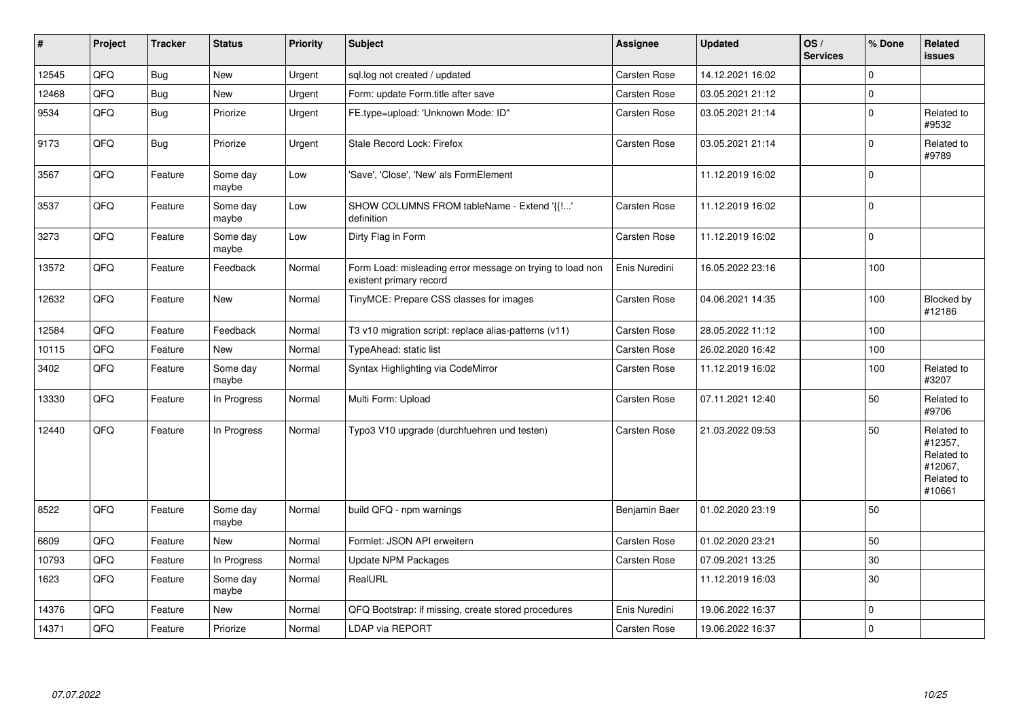| #     | Project | <b>Tracker</b> | <b>Status</b>     | <b>Priority</b> | <b>Subject</b>                                                                       | <b>Assignee</b> | <b>Updated</b>   | OS/<br><b>Services</b> | % Done       | <b>Related</b><br>issues                                               |
|-------|---------|----------------|-------------------|-----------------|--------------------------------------------------------------------------------------|-----------------|------------------|------------------------|--------------|------------------------------------------------------------------------|
| 12545 | QFQ     | Bug            | <b>New</b>        | Urgent          | sql.log not created / updated                                                        | Carsten Rose    | 14.12.2021 16:02 |                        | $\Omega$     |                                                                        |
| 12468 | QFQ     | Bug            | New               | Urgent          | Form: update Form.title after save                                                   | Carsten Rose    | 03.05.2021 21:12 |                        | $\mathbf 0$  |                                                                        |
| 9534  | QFQ     | Bug            | Priorize          | Urgent          | FE.type=upload: 'Unknown Mode: ID"                                                   | Carsten Rose    | 03.05.2021 21:14 |                        | $\Omega$     | Related to<br>#9532                                                    |
| 9173  | QFQ     | Bug            | Priorize          | Urgent          | Stale Record Lock: Firefox                                                           | Carsten Rose    | 03.05.2021 21:14 |                        | $\Omega$     | Related to<br>#9789                                                    |
| 3567  | QFQ     | Feature        | Some day<br>maybe | Low             | 'Save', 'Close', 'New' als FormElement                                               |                 | 11.12.2019 16:02 |                        | $\mathbf 0$  |                                                                        |
| 3537  | QFQ     | Feature        | Some day<br>maybe | Low             | SHOW COLUMNS FROM tableName - Extend '{{!'<br>definition                             | Carsten Rose    | 11.12.2019 16:02 |                        | $\Omega$     |                                                                        |
| 3273  | QFQ     | Feature        | Some day<br>maybe | Low             | Dirty Flag in Form                                                                   | Carsten Rose    | 11.12.2019 16:02 |                        | $\Omega$     |                                                                        |
| 13572 | QFQ     | Feature        | Feedback          | Normal          | Form Load: misleading error message on trying to load non<br>existent primary record | Enis Nuredini   | 16.05.2022 23:16 |                        | 100          |                                                                        |
| 12632 | QFQ     | Feature        | New               | Normal          | TinyMCE: Prepare CSS classes for images                                              | Carsten Rose    | 04.06.2021 14:35 |                        | 100          | Blocked by<br>#12186                                                   |
| 12584 | QFQ     | Feature        | Feedback          | Normal          | T3 v10 migration script: replace alias-patterns (v11)                                | Carsten Rose    | 28.05.2022 11:12 |                        | 100          |                                                                        |
| 10115 | QFQ     | Feature        | <b>New</b>        | Normal          | TypeAhead: static list                                                               | Carsten Rose    | 26.02.2020 16:42 |                        | 100          |                                                                        |
| 3402  | QFQ     | Feature        | Some day<br>maybe | Normal          | Syntax Highlighting via CodeMirror                                                   | Carsten Rose    | 11.12.2019 16:02 |                        | 100          | Related to<br>#3207                                                    |
| 13330 | QFQ     | Feature        | In Progress       | Normal          | Multi Form: Upload                                                                   | Carsten Rose    | 07.11.2021 12:40 |                        | 50           | Related to<br>#9706                                                    |
| 12440 | QFQ     | Feature        | In Progress       | Normal          | Typo3 V10 upgrade (durchfuehren und testen)                                          | Carsten Rose    | 21.03.2022 09:53 |                        | 50           | Related to<br>#12357,<br>Related to<br>#12067,<br>Related to<br>#10661 |
| 8522  | QFQ     | Feature        | Some day<br>maybe | Normal          | build QFQ - npm warnings                                                             | Benjamin Baer   | 01.02.2020 23:19 |                        | 50           |                                                                        |
| 6609  | QFQ     | Feature        | <b>New</b>        | Normal          | Formlet: JSON API erweitern                                                          | Carsten Rose    | 01.02.2020 23:21 |                        | 50           |                                                                        |
| 10793 | QFQ     | Feature        | In Progress       | Normal          | <b>Update NPM Packages</b>                                                           | Carsten Rose    | 07.09.2021 13:25 |                        | 30           |                                                                        |
| 1623  | QFQ     | Feature        | Some day<br>maybe | Normal          | RealURL                                                                              |                 | 11.12.2019 16:03 |                        | 30           |                                                                        |
| 14376 | QFQ     | Feature        | <b>New</b>        | Normal          | QFQ Bootstrap: if missing, create stored procedures                                  | Enis Nuredini   | 19.06.2022 16:37 |                        | $\Omega$     |                                                                        |
| 14371 | QFQ     | Feature        | Priorize          | Normal          | LDAP via REPORT                                                                      | Carsten Rose    | 19.06.2022 16:37 |                        | $\mathbf{0}$ |                                                                        |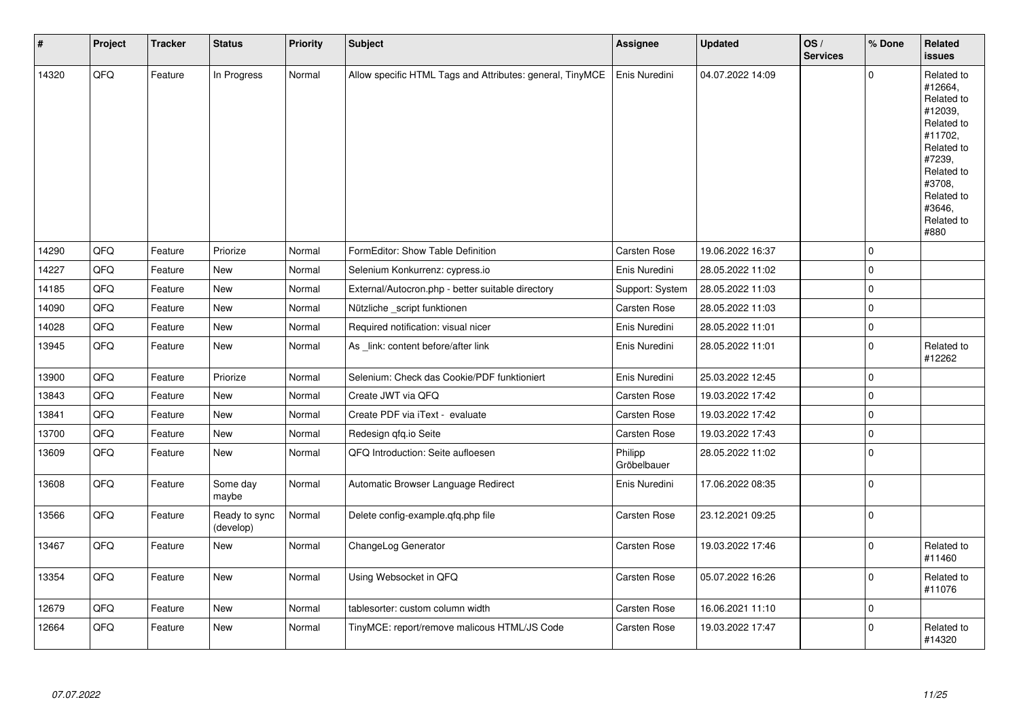| $\vert$ # | Project | <b>Tracker</b> | <b>Status</b>              | <b>Priority</b> | <b>Subject</b>                                            | <b>Assignee</b>        | <b>Updated</b>   | OS/<br><b>Services</b> | % Done              | Related<br><b>issues</b>                                                                                                                                              |
|-----------|---------|----------------|----------------------------|-----------------|-----------------------------------------------------------|------------------------|------------------|------------------------|---------------------|-----------------------------------------------------------------------------------------------------------------------------------------------------------------------|
| 14320     | QFQ     | Feature        | In Progress                | Normal          | Allow specific HTML Tags and Attributes: general, TinyMCE | Enis Nuredini          | 04.07.2022 14:09 |                        | $\Omega$            | Related to<br>#12664,<br>Related to<br>#12039,<br>Related to<br>#11702,<br>Related to<br>#7239,<br>Related to<br>#3708,<br>Related to<br>#3646,<br>Related to<br>#880 |
| 14290     | QFQ     | Feature        | Priorize                   | Normal          | FormEditor: Show Table Definition                         | Carsten Rose           | 19.06.2022 16:37 |                        | $\mathbf 0$         |                                                                                                                                                                       |
| 14227     | QFQ     | Feature        | New                        | Normal          | Selenium Konkurrenz: cypress.io                           | Enis Nuredini          | 28.05.2022 11:02 |                        | $\mathbf 0$         |                                                                                                                                                                       |
| 14185     | QFQ     | Feature        | <b>New</b>                 | Normal          | External/Autocron.php - better suitable directory         | Support: System        | 28.05.2022 11:03 |                        | $\mathbf 0$         |                                                                                                                                                                       |
| 14090     | QFQ     | Feature        | New                        | Normal          | Nützliche _script funktionen                              | Carsten Rose           | 28.05.2022 11:03 |                        | $\mathbf 0$         |                                                                                                                                                                       |
| 14028     | QFQ     | Feature        | New                        | Normal          | Required notification: visual nicer                       | Enis Nuredini          | 28.05.2022 11:01 |                        | $\mathsf{O}\xspace$ |                                                                                                                                                                       |
| 13945     | QFQ     | Feature        | New                        | Normal          | As link: content before/after link                        | Enis Nuredini          | 28.05.2022 11:01 |                        | $\mathbf 0$         | Related to<br>#12262                                                                                                                                                  |
| 13900     | QFQ     | Feature        | Priorize                   | Normal          | Selenium: Check das Cookie/PDF funktioniert               | Enis Nuredini          | 25.03.2022 12:45 |                        | $\mathbf 0$         |                                                                                                                                                                       |
| 13843     | QFQ     | Feature        | New                        | Normal          | Create JWT via QFQ                                        | Carsten Rose           | 19.03.2022 17:42 |                        | $\mathbf 0$         |                                                                                                                                                                       |
| 13841     | QFQ     | Feature        | New                        | Normal          | Create PDF via iText - evaluate                           | Carsten Rose           | 19.03.2022 17:42 |                        | $\mathbf 0$         |                                                                                                                                                                       |
| 13700     | QFQ     | Feature        | New                        | Normal          | Redesign gfg.io Seite                                     | Carsten Rose           | 19.03.2022 17:43 |                        | $\mathbf 0$         |                                                                                                                                                                       |
| 13609     | QFQ     | Feature        | New                        | Normal          | QFQ Introduction: Seite aufloesen                         | Philipp<br>Gröbelbauer | 28.05.2022 11:02 |                        | $\mathbf 0$         |                                                                                                                                                                       |
| 13608     | QFQ     | Feature        | Some day<br>maybe          | Normal          | Automatic Browser Language Redirect                       | Enis Nuredini          | 17.06.2022 08:35 |                        | $\Omega$            |                                                                                                                                                                       |
| 13566     | QFQ     | Feature        | Ready to sync<br>(develop) | Normal          | Delete config-example.qfq.php file                        | Carsten Rose           | 23.12.2021 09:25 |                        | $\mathbf 0$         |                                                                                                                                                                       |
| 13467     | QFQ     | Feature        | New                        | Normal          | ChangeLog Generator                                       | Carsten Rose           | 19.03.2022 17:46 |                        | $\Omega$            | Related to<br>#11460                                                                                                                                                  |
| 13354     | QFQ     | Feature        | New                        | Normal          | Using Websocket in QFQ                                    | Carsten Rose           | 05.07.2022 16:26 |                        | $\Omega$            | Related to<br>#11076                                                                                                                                                  |
| 12679     | QFQ     | Feature        | <b>New</b>                 | Normal          | tablesorter: custom column width                          | Carsten Rose           | 16.06.2021 11:10 |                        | $\Omega$            |                                                                                                                                                                       |
| 12664     | QFQ     | Feature        | <b>New</b>                 | Normal          | TinyMCE: report/remove malicous HTML/JS Code              | Carsten Rose           | 19.03.2022 17:47 |                        | $\Omega$            | Related to<br>#14320                                                                                                                                                  |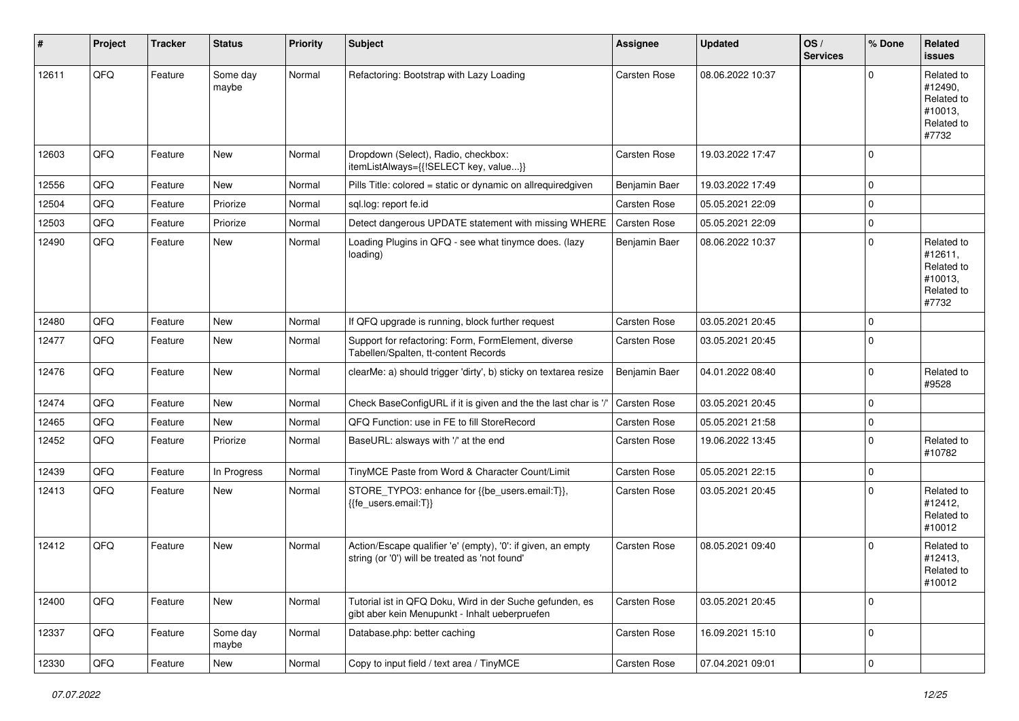| #     | Project | <b>Tracker</b> | <b>Status</b>     | <b>Priority</b> | <b>Subject</b>                                                                                                 | Assignee            | <b>Updated</b>   | OS/<br><b>Services</b> | % Done      | Related<br><b>issues</b>                                              |
|-------|---------|----------------|-------------------|-----------------|----------------------------------------------------------------------------------------------------------------|---------------------|------------------|------------------------|-------------|-----------------------------------------------------------------------|
| 12611 | QFQ     | Feature        | Some day<br>maybe | Normal          | Refactoring: Bootstrap with Lazy Loading                                                                       | <b>Carsten Rose</b> | 08.06.2022 10:37 |                        | $\Omega$    | Related to<br>#12490,<br>Related to<br>#10013,<br>Related to<br>#7732 |
| 12603 | QFQ     | Feature        | New               | Normal          | Dropdown (Select), Radio, checkbox:<br>itemListAlways={{!SELECT key, value}}                                   | Carsten Rose        | 19.03.2022 17:47 |                        | $\mathbf 0$ |                                                                       |
| 12556 | QFQ     | Feature        | New               | Normal          | Pills Title: colored = static or dynamic on allrequiredgiven                                                   | Benjamin Baer       | 19.03.2022 17:49 |                        | $\mathbf 0$ |                                                                       |
| 12504 | QFQ     | Feature        | Priorize          | Normal          | sql.log: report fe.id                                                                                          | Carsten Rose        | 05.05.2021 22:09 |                        | $\mathbf 0$ |                                                                       |
| 12503 | QFQ     | Feature        | Priorize          | Normal          | Detect dangerous UPDATE statement with missing WHERE                                                           | Carsten Rose        | 05.05.2021 22:09 |                        | $\mathbf 0$ |                                                                       |
| 12490 | QFQ     | Feature        | New               | Normal          | Loading Plugins in QFQ - see what tinymce does. (lazy<br>loading)                                              | Benjamin Baer       | 08.06.2022 10:37 |                        | $\Omega$    | Related to<br>#12611,<br>Related to<br>#10013.<br>Related to<br>#7732 |
| 12480 | QFQ     | Feature        | New               | Normal          | If QFQ upgrade is running, block further request                                                               | <b>Carsten Rose</b> | 03.05.2021 20:45 |                        | $\mathbf 0$ |                                                                       |
| 12477 | QFQ     | Feature        | New               | Normal          | Support for refactoring: Form, FormElement, diverse<br>Tabellen/Spalten, tt-content Records                    | Carsten Rose        | 03.05.2021 20:45 |                        | $\Omega$    |                                                                       |
| 12476 | QFQ     | Feature        | New               | Normal          | clearMe: a) should trigger 'dirty', b) sticky on textarea resize                                               | Benjamin Baer       | 04.01.2022 08:40 |                        | $\Omega$    | Related to<br>#9528                                                   |
| 12474 | QFQ     | Feature        | New               | Normal          | Check BaseConfigURL if it is given and the the last char is '/'                                                | <b>Carsten Rose</b> | 03.05.2021 20:45 |                        | $\mathbf 0$ |                                                                       |
| 12465 | QFQ     | Feature        | New               | Normal          | QFQ Function: use in FE to fill StoreRecord                                                                    | Carsten Rose        | 05.05.2021 21:58 |                        | $\mathbf 0$ |                                                                       |
| 12452 | QFQ     | Feature        | Priorize          | Normal          | BaseURL: alsways with '/' at the end                                                                           | Carsten Rose        | 19.06.2022 13:45 |                        | $\Omega$    | Related to<br>#10782                                                  |
| 12439 | QFQ     | Feature        | In Progress       | Normal          | TinyMCE Paste from Word & Character Count/Limit                                                                | Carsten Rose        | 05.05.2021 22:15 |                        | $\mathbf 0$ |                                                                       |
| 12413 | QFQ     | Feature        | New               | Normal          | STORE_TYPO3: enhance for {{be_users.email:T}},<br>{{fe users.email:T}}                                         | Carsten Rose        | 03.05.2021 20:45 |                        | $\Omega$    | Related to<br>#12412,<br>Related to<br>#10012                         |
| 12412 | QFQ     | Feature        | New               | Normal          | Action/Escape qualifier 'e' (empty), '0': if given, an empty<br>string (or '0') will be treated as 'not found' | <b>Carsten Rose</b> | 08.05.2021 09:40 |                        | $\Omega$    | Related to<br>#12413,<br>Related to<br>#10012                         |
| 12400 | QFQ     | Feature        | New               | Normal          | Tutorial ist in QFQ Doku, Wird in der Suche gefunden, es<br>gibt aber kein Menupunkt - Inhalt ueberpruefen     | Carsten Rose        | 03.05.2021 20:45 |                        | $\mathbf 0$ |                                                                       |
| 12337 | QFQ     | Feature        | Some day<br>maybe | Normal          | Database.php: better caching                                                                                   | Carsten Rose        | 16.09.2021 15:10 |                        | $\mathbf 0$ |                                                                       |
| 12330 | QFQ     | Feature        | New               | Normal          | Copy to input field / text area / TinyMCE                                                                      | Carsten Rose        | 07.04.2021 09:01 |                        | 0           |                                                                       |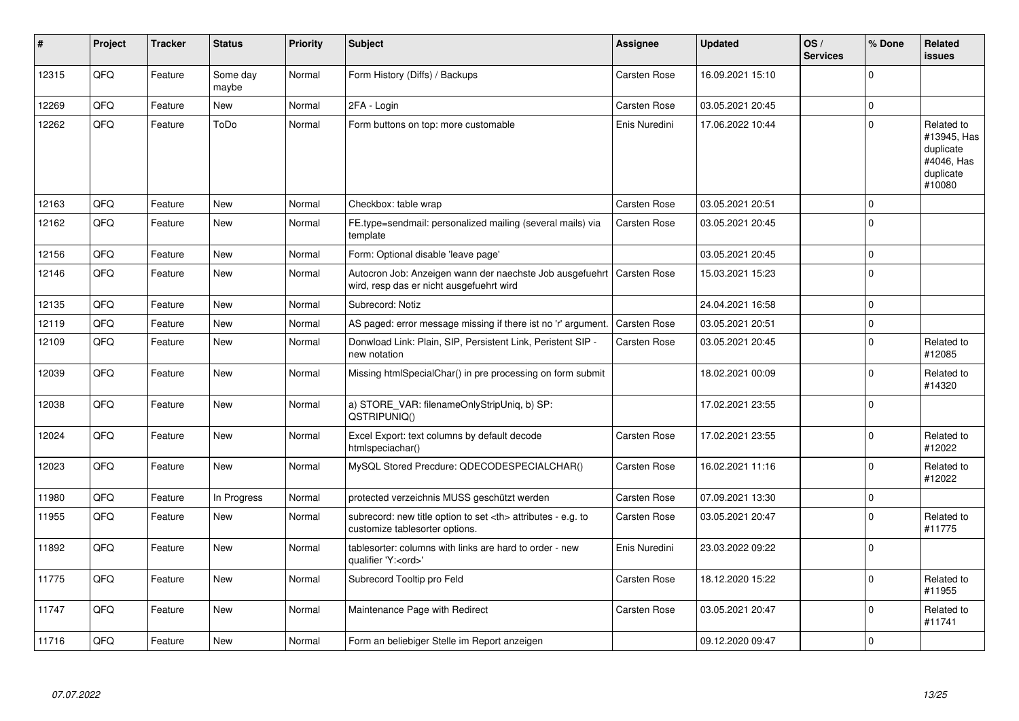| ∦     | Project | <b>Tracker</b> | <b>Status</b>     | <b>Priority</b> | <b>Subject</b>                                                                                                      | Assignee                                               | <b>Updated</b>   | OS/<br><b>Services</b> | % Done      | Related<br><b>issues</b>                                                    |                      |
|-------|---------|----------------|-------------------|-----------------|---------------------------------------------------------------------------------------------------------------------|--------------------------------------------------------|------------------|------------------------|-------------|-----------------------------------------------------------------------------|----------------------|
| 12315 | QFQ     | Feature        | Some day<br>maybe | Normal          | Form History (Diffs) / Backups                                                                                      | Carsten Rose                                           | 16.09.2021 15:10 |                        | $\Omega$    |                                                                             |                      |
| 12269 | QFQ     | Feature        | New               | Normal          | 2FA - Login                                                                                                         | Carsten Rose                                           | 03.05.2021 20:45 |                        | $\mathbf 0$ |                                                                             |                      |
| 12262 | QFQ     | Feature        | ToDo              | Normal          | Form buttons on top: more customable                                                                                | Enis Nuredini                                          | 17.06.2022 10:44 |                        | $\Omega$    | Related to<br>#13945, Has<br>duplicate<br>#4046, Has<br>duplicate<br>#10080 |                      |
| 12163 | QFQ     | Feature        | <b>New</b>        | Normal          | Checkbox: table wrap                                                                                                | Carsten Rose                                           | 03.05.2021 20:51 |                        | $\mathbf 0$ |                                                                             |                      |
| 12162 | QFQ     | Feature        | <b>New</b>        | Normal          | FE.type=sendmail: personalized mailing (several mails) via<br>template                                              | Carsten Rose                                           | 03.05.2021 20:45 |                        | $\Omega$    |                                                                             |                      |
| 12156 | QFQ     | Feature        | <b>New</b>        | Normal          | Form: Optional disable 'leave page'                                                                                 |                                                        | 03.05.2021 20:45 |                        | $\mathbf 0$ |                                                                             |                      |
| 12146 | QFQ     | Feature        | <b>New</b>        | Normal          | Autocron Job: Anzeigen wann der naechste Job ausgefuehrt   Carsten Rose<br>wird, resp das er nicht ausgefuehrt wird |                                                        | 15.03.2021 15:23 |                        | $\mathbf 0$ |                                                                             |                      |
| 12135 | QFQ     | Feature        | <b>New</b>        | Normal          | Subrecord: Notiz                                                                                                    |                                                        | 24.04.2021 16:58 |                        | $\Omega$    |                                                                             |                      |
| 12119 | QFQ     | Feature        | <b>New</b>        | Normal          | AS paged: error message missing if there ist no 'r' argument.                                                       | <b>Carsten Rose</b>                                    | 03.05.2021 20:51 |                        | $\mathbf 0$ |                                                                             |                      |
| 12109 | QFQ     | Feature        | <b>New</b>        | Normal          | Donwload Link: Plain, SIP, Persistent Link, Peristent SIP -<br>new notation                                         | Carsten Rose                                           | 03.05.2021 20:45 |                        | $\Omega$    | Related to<br>#12085                                                        |                      |
| 12039 | QFQ     | Feature        | <b>New</b>        | Normal          | Missing htmlSpecialChar() in pre processing on form submit                                                          |                                                        | 18.02.2021 00:09 |                        | $\Omega$    | Related to<br>#14320                                                        |                      |
| 12038 | QFQ     | Feature        | <b>New</b>        | Normal          | a) STORE_VAR: filenameOnlyStripUniq, b) SP:<br>QSTRIPUNIQ()                                                         |                                                        | 17.02.2021 23:55 |                        | $\Omega$    |                                                                             |                      |
| 12024 | QFQ     | Feature        | New               | Normal          | Excel Export: text columns by default decode<br>htmlspeciachar()                                                    | Carsten Rose                                           | 17.02.2021 23:55 |                        | $\mathbf 0$ | Related to<br>#12022                                                        |                      |
| 12023 | QFQ     | Feature        | New               | Normal          | MySQL Stored Precdure: QDECODESPECIALCHAR()                                                                         | Carsten Rose                                           | 16.02.2021 11:16 |                        | $\Omega$    | Related to<br>#12022                                                        |                      |
| 11980 | QFQ     | Feature        | In Progress       | Normal          | protected verzeichnis MUSS geschützt werden                                                                         | Carsten Rose                                           | 07.09.2021 13:30 |                        | $\Omega$    |                                                                             |                      |
| 11955 | QFQ     | Feature        | <b>New</b>        | Normal          | subrecord: new title option to set <th> attributes - e.g. to<br/>customize tablesorter options.</th>                | attributes - e.g. to<br>customize tablesorter options. | Carsten Rose     | 03.05.2021 20:47       |             | $\Omega$                                                                    | Related to<br>#11775 |
| 11892 | QFQ     | Feature        | <b>New</b>        | Normal          | tablesorter: columns with links are hard to order - new<br>qualifier 'Y: <ord>'</ord>                               | Enis Nuredini                                          | 23.03.2022 09:22 |                        | $\Omega$    |                                                                             |                      |
| 11775 | QFQ     | Feature        | <b>New</b>        | Normal          | Subrecord Tooltip pro Feld                                                                                          | Carsten Rose                                           | 18.12.2020 15:22 |                        | $\Omega$    | Related to<br>#11955                                                        |                      |
| 11747 | QFQ     | Feature        | New               | Normal          | Maintenance Page with Redirect                                                                                      | Carsten Rose                                           | 03.05.2021 20:47 |                        | $\Omega$    | Related to<br>#11741                                                        |                      |
| 11716 | QFQ     | Feature        | <b>New</b>        | Normal          | Form an beliebiger Stelle im Report anzeigen                                                                        |                                                        | 09.12.2020 09:47 |                        | $\mathbf 0$ |                                                                             |                      |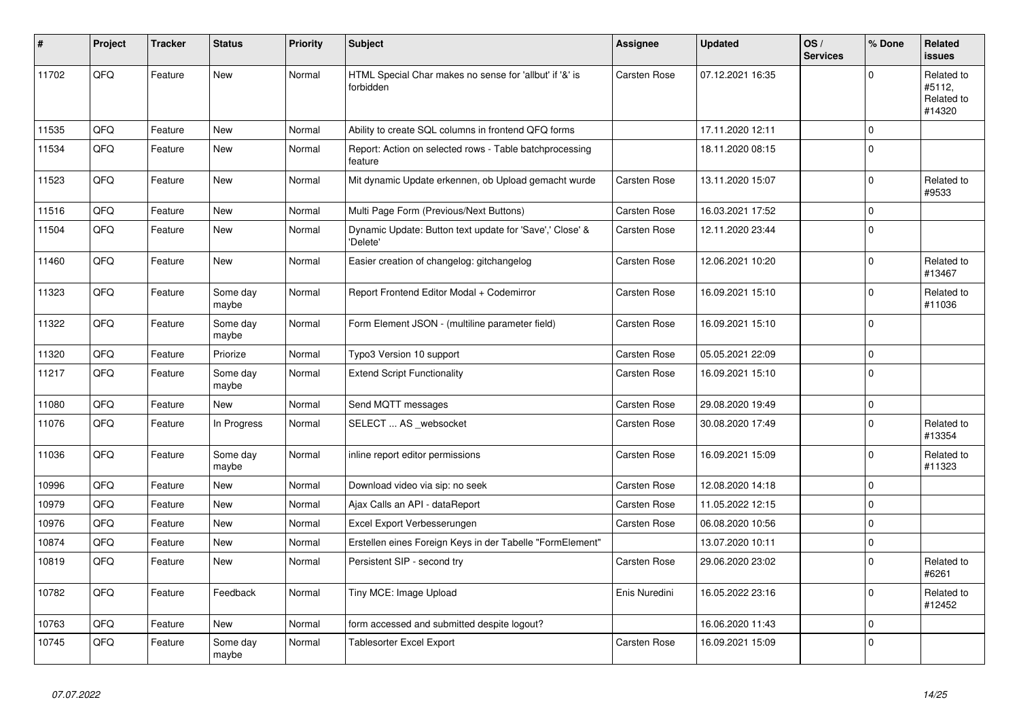| #     | Project | <b>Tracker</b> | <b>Status</b>     | <b>Priority</b> | <b>Subject</b>                                                       | <b>Assignee</b>     | <b>Updated</b>   | OS/<br><b>Services</b> | % Done              | Related<br><b>issues</b>                     |
|-------|---------|----------------|-------------------|-----------------|----------------------------------------------------------------------|---------------------|------------------|------------------------|---------------------|----------------------------------------------|
| 11702 | QFQ     | Feature        | <b>New</b>        | Normal          | HTML Special Char makes no sense for 'allbut' if '&' is<br>forbidden | Carsten Rose        | 07.12.2021 16:35 |                        | $\Omega$            | Related to<br>#5112,<br>Related to<br>#14320 |
| 11535 | QFQ     | Feature        | <b>New</b>        | Normal          | Ability to create SQL columns in frontend QFQ forms                  |                     | 17.11.2020 12:11 |                        | $\mathbf 0$         |                                              |
| 11534 | QFQ     | Feature        | <b>New</b>        | Normal          | Report: Action on selected rows - Table batchprocessing<br>feature   |                     | 18.11.2020 08:15 |                        | $\mathbf 0$         |                                              |
| 11523 | QFQ     | Feature        | <b>New</b>        | Normal          | Mit dynamic Update erkennen, ob Upload gemacht wurde                 | Carsten Rose        | 13.11.2020 15:07 |                        | $\mathbf 0$         | Related to<br>#9533                          |
| 11516 | QFQ     | Feature        | <b>New</b>        | Normal          | Multi Page Form (Previous/Next Buttons)                              | Carsten Rose        | 16.03.2021 17:52 |                        | $\mathbf 0$         |                                              |
| 11504 | QFQ     | Feature        | New               | Normal          | Dynamic Update: Button text update for 'Save',' Close' &<br>'Delete' | Carsten Rose        | 12.11.2020 23:44 |                        | $\mathbf 0$         |                                              |
| 11460 | QFQ     | Feature        | New               | Normal          | Easier creation of changelog: gitchangelog                           | Carsten Rose        | 12.06.2021 10:20 |                        | $\Omega$            | Related to<br>#13467                         |
| 11323 | QFQ     | Feature        | Some day<br>maybe | Normal          | Report Frontend Editor Modal + Codemirror                            | <b>Carsten Rose</b> | 16.09.2021 15:10 |                        | $\Omega$            | Related to<br>#11036                         |
| 11322 | QFQ     | Feature        | Some day<br>maybe | Normal          | Form Element JSON - (multiline parameter field)                      | Carsten Rose        | 16.09.2021 15:10 |                        | $\mathbf 0$         |                                              |
| 11320 | QFQ     | Feature        | Priorize          | Normal          | Typo3 Version 10 support                                             | Carsten Rose        | 05.05.2021 22:09 |                        | $\mathbf 0$         |                                              |
| 11217 | QFQ     | Feature        | Some day<br>maybe | Normal          | <b>Extend Script Functionality</b>                                   | <b>Carsten Rose</b> | 16.09.2021 15:10 |                        | $\mathbf 0$         |                                              |
| 11080 | QFQ     | Feature        | <b>New</b>        | Normal          | Send MQTT messages                                                   | Carsten Rose        | 29.08.2020 19:49 |                        | $\mathsf{O}\xspace$ |                                              |
| 11076 | QFQ     | Feature        | In Progress       | Normal          | SELECT  AS _websocket                                                | <b>Carsten Rose</b> | 30.08.2020 17:49 |                        | $\mathbf 0$         | Related to<br>#13354                         |
| 11036 | QFQ     | Feature        | Some day<br>maybe | Normal          | inline report editor permissions                                     | Carsten Rose        | 16.09.2021 15:09 |                        | $\mathbf 0$         | Related to<br>#11323                         |
| 10996 | QFQ     | Feature        | <b>New</b>        | Normal          | Download video via sip: no seek                                      | <b>Carsten Rose</b> | 12.08.2020 14:18 |                        | $\mathsf 0$         |                                              |
| 10979 | QFQ     | Feature        | <b>New</b>        | Normal          | Ajax Calls an API - dataReport                                       | <b>Carsten Rose</b> | 11.05.2022 12:15 |                        | $\mathsf 0$         |                                              |
| 10976 | QFQ     | Feature        | New               | Normal          | Excel Export Verbesserungen                                          | <b>Carsten Rose</b> | 06.08.2020 10:56 |                        | $\mathsf 0$         |                                              |
| 10874 | QFQ     | Feature        | New               | Normal          | Erstellen eines Foreign Keys in der Tabelle "FormElement"            |                     | 13.07.2020 10:11 |                        | $\mathsf{O}\xspace$ |                                              |
| 10819 | QFQ     | Feature        | <b>New</b>        | Normal          | Persistent SIP - second try                                          | Carsten Rose        | 29.06.2020 23:02 |                        | $\Omega$            | Related to<br>#6261                          |
| 10782 | QFQ     | Feature        | Feedback          | Normal          | Tiny MCE: Image Upload                                               | Enis Nuredini       | 16.05.2022 23:16 |                        | $\mathbf 0$         | Related to<br>#12452                         |
| 10763 | QFQ     | Feature        | <b>New</b>        | Normal          | form accessed and submitted despite logout?                          |                     | 16.06.2020 11:43 |                        | $\mathbf 0$         |                                              |
| 10745 | QFQ     | Feature        | Some day<br>maybe | Normal          | Tablesorter Excel Export                                             | <b>Carsten Rose</b> | 16.09.2021 15:09 |                        | $\mathbf 0$         |                                              |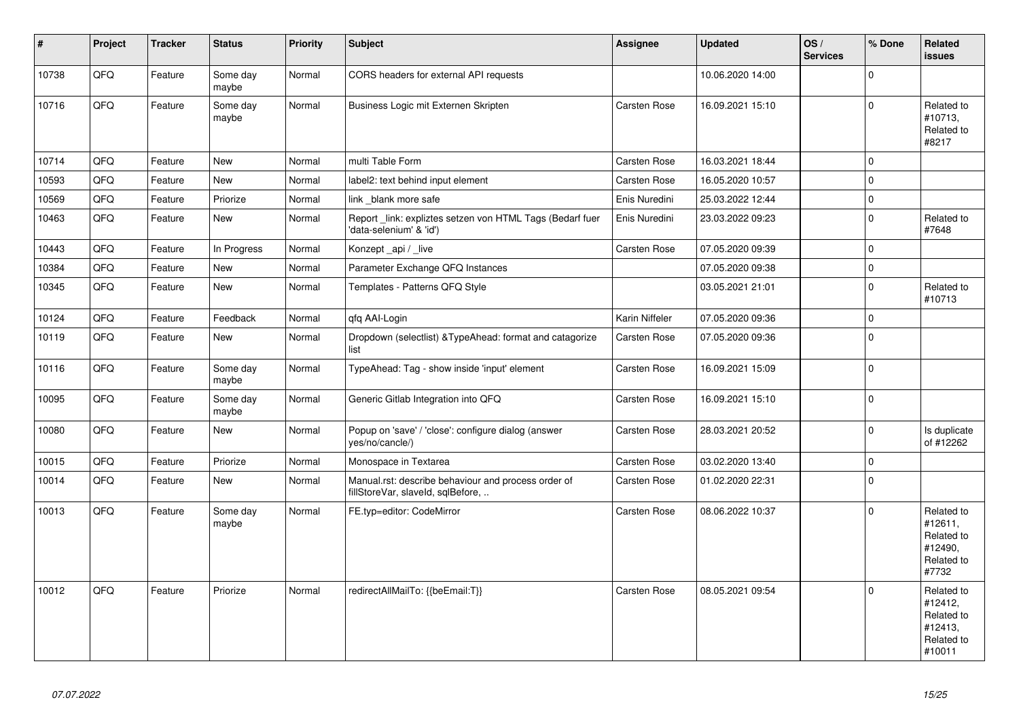| $\vert$ # | Project | <b>Tracker</b> | <b>Status</b>     | <b>Priority</b> | Subject                                                                                  | Assignee            | <b>Updated</b>   | OS/<br><b>Services</b> | % Done         | Related<br>issues                                                      |
|-----------|---------|----------------|-------------------|-----------------|------------------------------------------------------------------------------------------|---------------------|------------------|------------------------|----------------|------------------------------------------------------------------------|
| 10738     | QFQ     | Feature        | Some day<br>maybe | Normal          | CORS headers for external API requests                                                   |                     | 10.06.2020 14:00 |                        | $\mathbf 0$    |                                                                        |
| 10716     | QFQ     | Feature        | Some day<br>maybe | Normal          | Business Logic mit Externen Skripten                                                     | Carsten Rose        | 16.09.2021 15:10 |                        | $\mathbf 0$    | Related to<br>#10713,<br>Related to<br>#8217                           |
| 10714     | QFQ     | Feature        | <b>New</b>        | Normal          | multi Table Form                                                                         | Carsten Rose        | 16.03.2021 18:44 |                        | $\mathbf 0$    |                                                                        |
| 10593     | QFQ     | Feature        | <b>New</b>        | Normal          | label2: text behind input element                                                        | Carsten Rose        | 16.05.2020 10:57 |                        | $\Omega$       |                                                                        |
| 10569     | QFQ     | Feature        | Priorize          | Normal          | link _blank more safe                                                                    | Enis Nuredini       | 25.03.2022 12:44 |                        | $\mathbf 0$    |                                                                        |
| 10463     | QFQ     | Feature        | New               | Normal          | Report _link: expliztes setzen von HTML Tags (Bedarf fuer<br>'data-selenium' & 'id')     | Enis Nuredini       | 23.03.2022 09:23 |                        | $\Omega$       | Related to<br>#7648                                                    |
| 10443     | QFQ     | Feature        | In Progress       | Normal          | Konzept_api / _live                                                                      | Carsten Rose        | 07.05.2020 09:39 |                        | $\Omega$       |                                                                        |
| 10384     | QFQ     | Feature        | New               | Normal          | Parameter Exchange QFQ Instances                                                         |                     | 07.05.2020 09:38 |                        | $\Omega$       |                                                                        |
| 10345     | QFQ     | Feature        | New               | Normal          | Templates - Patterns QFQ Style                                                           |                     | 03.05.2021 21:01 |                        | $\mathbf 0$    | Related to<br>#10713                                                   |
| 10124     | QFQ     | Feature        | Feedback          | Normal          | gfg AAI-Login                                                                            | Karin Niffeler      | 07.05.2020 09:36 |                        | $\mathbf 0$    |                                                                        |
| 10119     | QFQ     | Feature        | <b>New</b>        | Normal          | Dropdown (selectlist) & TypeAhead: format and catagorize<br>list                         | Carsten Rose        | 07.05.2020 09:36 |                        | $\Omega$       |                                                                        |
| 10116     | QFQ     | Feature        | Some day<br>maybe | Normal          | TypeAhead: Tag - show inside 'input' element                                             | Carsten Rose        | 16.09.2021 15:09 |                        | $\overline{0}$ |                                                                        |
| 10095     | QFQ     | Feature        | Some day<br>maybe | Normal          | Generic Gitlab Integration into QFQ                                                      | Carsten Rose        | 16.09.2021 15:10 |                        | $\Omega$       |                                                                        |
| 10080     | QFQ     | Feature        | New               | Normal          | Popup on 'save' / 'close': configure dialog (answer<br>yes/no/cancle/)                   | Carsten Rose        | 28.03.2021 20:52 |                        | $\mathbf 0$    | Is duplicate<br>of #12262                                              |
| 10015     | QFG     | Feature        | Priorize          | Normal          | Monospace in Textarea                                                                    | Carsten Rose        | 03.02.2020 13:40 |                        | $\mathbf 0$    |                                                                        |
| 10014     | QFG     | Feature        | New               | Normal          | Manual.rst: describe behaviour and process order of<br>fillStoreVar, slaveId, sqlBefore, | Carsten Rose        | 01.02.2020 22:31 |                        | $\mathbf 0$    |                                                                        |
| 10013     | QFQ     | Feature        | Some day<br>maybe | Normal          | FE.typ=editor: CodeMirror                                                                | Carsten Rose        | 08.06.2022 10:37 |                        | $\Omega$       | Related to<br>#12611,<br>Related to<br>#12490.<br>Related to<br>#7732  |
| 10012     | QFQ     | Feature        | Priorize          | Normal          | redirectAllMailTo: {{beEmail:T}}                                                         | <b>Carsten Rose</b> | 08.05.2021 09:54 |                        | $\Omega$       | Related to<br>#12412,<br>Related to<br>#12413,<br>Related to<br>#10011 |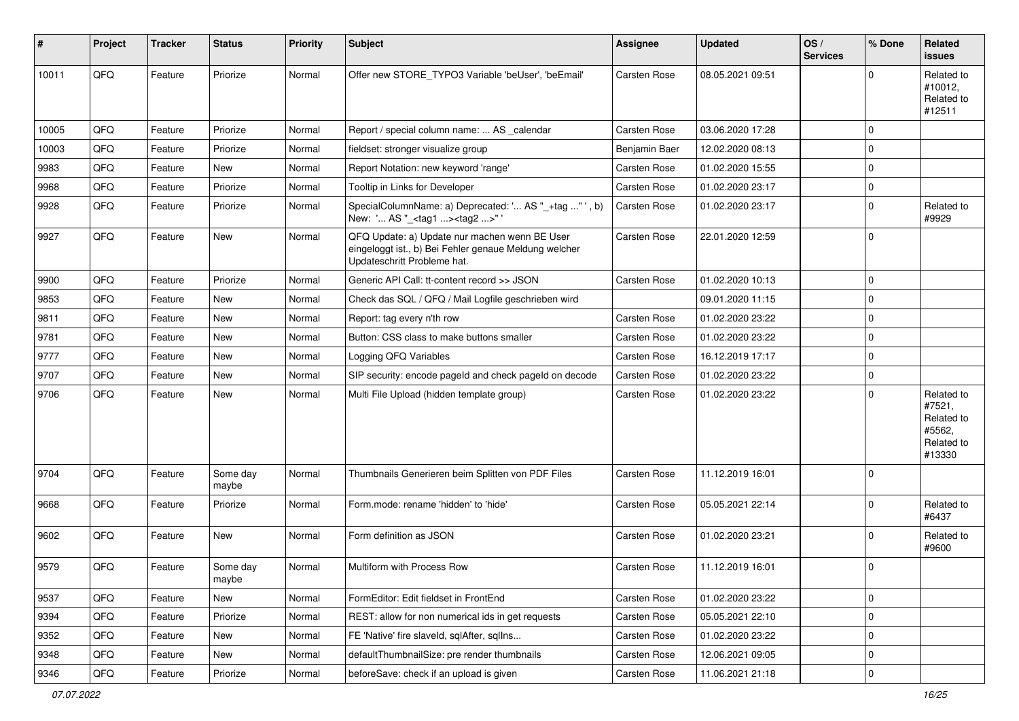| #     | Project | <b>Tracker</b> | <b>Status</b>     | <b>Priority</b> | <b>Subject</b>                                                                                                                        | Assignee            | <b>Updated</b>   | OS/<br><b>Services</b> | % Done         | Related<br>issues                                                    |
|-------|---------|----------------|-------------------|-----------------|---------------------------------------------------------------------------------------------------------------------------------------|---------------------|------------------|------------------------|----------------|----------------------------------------------------------------------|
| 10011 | QFQ     | Feature        | Priorize          | Normal          | Offer new STORE_TYPO3 Variable 'beUser', 'beEmail'                                                                                    | <b>Carsten Rose</b> | 08.05.2021 09:51 |                        | $\Omega$       | Related to<br>#10012,<br>Related to<br>#12511                        |
| 10005 | QFQ     | Feature        | Priorize          | Normal          | Report / special column name:  AS calendar                                                                                            | Carsten Rose        | 03.06.2020 17:28 |                        | $\mathbf 0$    |                                                                      |
| 10003 | QFQ     | Feature        | Priorize          | Normal          | fieldset: stronger visualize group                                                                                                    | Benjamin Baer       | 12.02.2020 08:13 |                        | 0              |                                                                      |
| 9983  | QFQ     | Feature        | New               | Normal          | Report Notation: new keyword 'range'                                                                                                  | <b>Carsten Rose</b> | 01.02.2020 15:55 |                        | 0              |                                                                      |
| 9968  | QFQ     | Feature        | Priorize          | Normal          | Tooltip in Links for Developer                                                                                                        | Carsten Rose        | 01.02.2020 23:17 |                        | $\Omega$       |                                                                      |
| 9928  | QFQ     | Feature        | Priorize          | Normal          | SpecialColumnName: a) Deprecated: ' AS "_+tag " ', b)<br>New: ' AS "_ <tag1><tag2>"'</tag2></tag1>                                    | Carsten Rose        | 01.02.2020 23:17 |                        | $\Omega$       | Related to<br>#9929                                                  |
| 9927  | QFQ     | Feature        | <b>New</b>        | Normal          | QFQ Update: a) Update nur machen wenn BE User<br>eingeloggt ist., b) Bei Fehler genaue Meldung welcher<br>Updateschritt Probleme hat. | <b>Carsten Rose</b> | 22.01.2020 12:59 |                        | $\mathbf 0$    |                                                                      |
| 9900  | QFQ     | Feature        | Priorize          | Normal          | Generic API Call: tt-content record >> JSON                                                                                           | <b>Carsten Rose</b> | 01.02.2020 10:13 |                        | $\mathbf 0$    |                                                                      |
| 9853  | QFQ     | Feature        | <b>New</b>        | Normal          | Check das SQL / QFQ / Mail Logfile geschrieben wird                                                                                   |                     | 09.01.2020 11:15 |                        | $\mathbf 0$    |                                                                      |
| 9811  | QFQ     | Feature        | New               | Normal          | Report: tag every n'th row                                                                                                            | Carsten Rose        | 01.02.2020 23:22 |                        | $\Omega$       |                                                                      |
| 9781  | QFQ     | Feature        | New               | Normal          | Button: CSS class to make buttons smaller                                                                                             | Carsten Rose        | 01.02.2020 23:22 |                        | $\overline{0}$ |                                                                      |
| 9777  | QFQ     | Feature        | New               | Normal          | Logging QFQ Variables                                                                                                                 | <b>Carsten Rose</b> | 16.12.2019 17:17 |                        | 0              |                                                                      |
| 9707  | QFQ     | Feature        | New               | Normal          | SIP security: encode pageld and check pageld on decode                                                                                | <b>Carsten Rose</b> | 01.02.2020 23:22 |                        | $\mathbf 0$    |                                                                      |
| 9706  | QFQ     | Feature        | New               | Normal          | Multi File Upload (hidden template group)                                                                                             | Carsten Rose        | 01.02.2020 23:22 |                        | $\Omega$       | Related to<br>#7521,<br>Related to<br>#5562,<br>Related to<br>#13330 |
| 9704  | QFQ     | Feature        | Some day<br>maybe | Normal          | Thumbnails Generieren beim Splitten von PDF Files                                                                                     | <b>Carsten Rose</b> | 11.12.2019 16:01 |                        | $\Omega$       |                                                                      |
| 9668  | QFQ     | Feature        | Priorize          | Normal          | Form.mode: rename 'hidden' to 'hide'                                                                                                  | Carsten Rose        | 05.05.2021 22:14 |                        | $\mathbf 0$    | Related to<br>#6437                                                  |
| 9602  | QFQ     | Feature        | <b>New</b>        | Normal          | Form definition as JSON                                                                                                               | <b>Carsten Rose</b> | 01.02.2020 23:21 |                        | $\Omega$       | Related to<br>#9600                                                  |
| 9579  | QFQ     | Feature        | Some day<br>maybe | Normal          | Multiform with Process Row                                                                                                            | <b>Carsten Rose</b> | 11.12.2019 16:01 |                        | 0              |                                                                      |
| 9537  | QFQ     | Feature        | New               | Normal          | FormEditor: Edit fieldset in FrontEnd                                                                                                 | Carsten Rose        | 01.02.2020 23:22 |                        | 0              |                                                                      |
| 9394  | QFQ     | Feature        | Priorize          | Normal          | REST: allow for non numerical ids in get requests                                                                                     | Carsten Rose        | 05.05.2021 22:10 |                        | 0              |                                                                      |
| 9352  | QFQ     | Feature        | New               | Normal          | FE 'Native' fire slaveld, sqlAfter, sqlIns                                                                                            | Carsten Rose        | 01.02.2020 23:22 |                        | $\mathbf 0$    |                                                                      |
| 9348  | QFQ     | Feature        | New               | Normal          | defaultThumbnailSize: pre render thumbnails                                                                                           | Carsten Rose        | 12.06.2021 09:05 |                        | 0              |                                                                      |
| 9346  | QFG     | Feature        | Priorize          | Normal          | beforeSave: check if an upload is given                                                                                               | Carsten Rose        | 11.06.2021 21:18 |                        | 0              |                                                                      |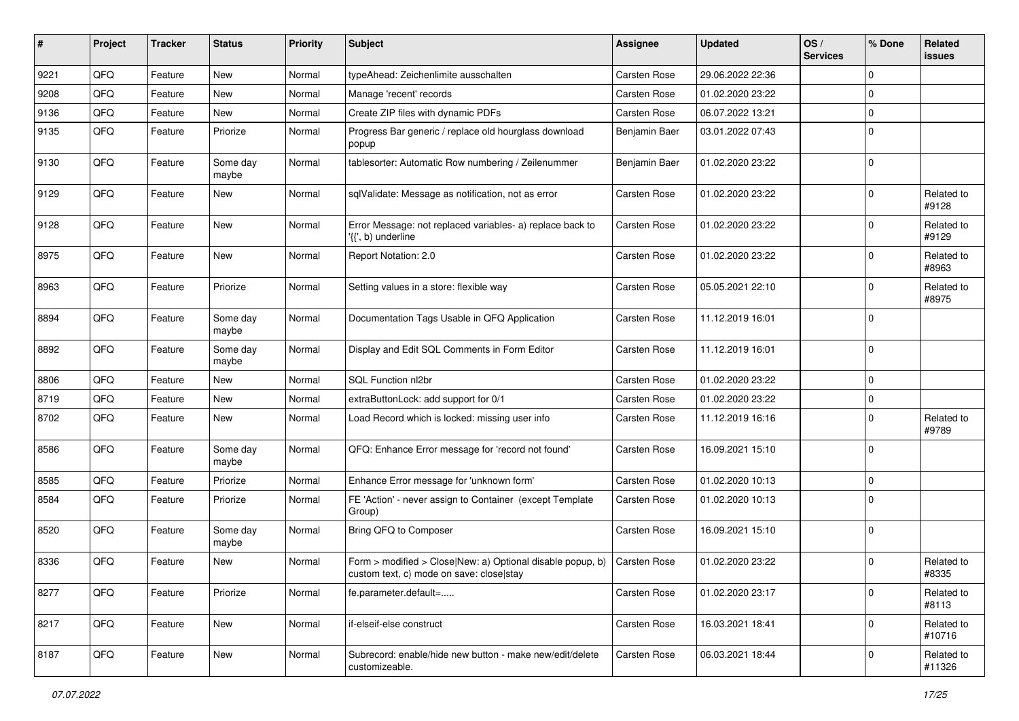| #    | Project | <b>Tracker</b> | <b>Status</b>     | <b>Priority</b> | Subject                                                                                                | <b>Assignee</b>     | <b>Updated</b>   | OS/<br><b>Services</b> | % Done      | Related<br><b>issues</b> |
|------|---------|----------------|-------------------|-----------------|--------------------------------------------------------------------------------------------------------|---------------------|------------------|------------------------|-------------|--------------------------|
| 9221 | QFQ     | Feature        | <b>New</b>        | Normal          | typeAhead: Zeichenlimite ausschalten                                                                   | Carsten Rose        | 29.06.2022 22:36 |                        | $\Omega$    |                          |
| 9208 | QFQ     | Feature        | <b>New</b>        | Normal          | Manage 'recent' records                                                                                | Carsten Rose        | 01.02.2020 23:22 |                        | $\Omega$    |                          |
| 9136 | QFQ     | Feature        | New               | Normal          | Create ZIP files with dynamic PDFs                                                                     | Carsten Rose        | 06.07.2022 13:21 |                        | $\mathbf 0$ |                          |
| 9135 | QFQ     | Feature        | Priorize          | Normal          | Progress Bar generic / replace old hourglass download<br>popup                                         | Benjamin Baer       | 03.01.2022 07:43 |                        | $\Omega$    |                          |
| 9130 | QFQ     | Feature        | Some day<br>maybe | Normal          | tablesorter: Automatic Row numbering / Zeilenummer                                                     | Benjamin Baer       | 01.02.2020 23:22 |                        | $\Omega$    |                          |
| 9129 | QFQ     | Feature        | <b>New</b>        | Normal          | sqlValidate: Message as notification, not as error                                                     | Carsten Rose        | 01.02.2020 23:22 |                        | $\Omega$    | Related to<br>#9128      |
| 9128 | QFQ     | Feature        | <b>New</b>        | Normal          | Error Message: not replaced variables- a) replace back to<br>'{{', b) underline                        | Carsten Rose        | 01.02.2020 23:22 |                        | $\Omega$    | Related to<br>#9129      |
| 8975 | QFQ     | Feature        | <b>New</b>        | Normal          | Report Notation: 2.0                                                                                   | Carsten Rose        | 01.02.2020 23:22 |                        | $\mathbf 0$ | Related to<br>#8963      |
| 8963 | QFQ     | Feature        | Priorize          | Normal          | Setting values in a store: flexible way                                                                | Carsten Rose        | 05.05.2021 22:10 |                        | $\mathbf 0$ | Related to<br>#8975      |
| 8894 | QFQ     | Feature        | Some day<br>maybe | Normal          | Documentation Tags Usable in QFQ Application                                                           | Carsten Rose        | 11.12.2019 16:01 |                        | $\Omega$    |                          |
| 8892 | QFQ     | Feature        | Some day<br>maybe | Normal          | Display and Edit SQL Comments in Form Editor                                                           | Carsten Rose        | 11.12.2019 16:01 |                        | $\mathbf 0$ |                          |
| 8806 | QFQ     | Feature        | <b>New</b>        | Normal          | SQL Function nl2br                                                                                     | Carsten Rose        | 01.02.2020 23:22 |                        | $\Omega$    |                          |
| 8719 | QFQ     | Feature        | <b>New</b>        | Normal          | extraButtonLock: add support for 0/1                                                                   | Carsten Rose        | 01.02.2020 23:22 |                        | 0           |                          |
| 8702 | QFQ     | Feature        | New               | Normal          | Load Record which is locked: missing user info                                                         | Carsten Rose        | 11.12.2019 16:16 |                        | $\mathbf 0$ | Related to<br>#9789      |
| 8586 | QFQ     | Feature        | Some day<br>maybe | Normal          | QFQ: Enhance Error message for 'record not found'                                                      | Carsten Rose        | 16.09.2021 15:10 |                        | $\Omega$    |                          |
| 8585 | QFQ     | Feature        | Priorize          | Normal          | Enhance Error message for 'unknown form'                                                               | Carsten Rose        | 01.02.2020 10:13 |                        | $\mathbf 0$ |                          |
| 8584 | QFQ     | Feature        | Priorize          | Normal          | FE 'Action' - never assign to Container (except Template<br>Group)                                     | Carsten Rose        | 01.02.2020 10:13 |                        | $\Omega$    |                          |
| 8520 | QFQ     | Feature        | Some day<br>maybe | Normal          | Bring QFQ to Composer                                                                                  | Carsten Rose        | 16.09.2021 15:10 |                        | $\mathbf 0$ |                          |
| 8336 | QFQ     | Feature        | <b>New</b>        | Normal          | Form > modified > Close New: a) Optional disable popup, b)<br>custom text, c) mode on save: close stay | <b>Carsten Rose</b> | 01.02.2020 23:22 |                        | $\mathbf 0$ | Related to<br>#8335      |
| 8277 | QFQ     | Feature        | Priorize          | Normal          | fe.parameter.default=                                                                                  | Carsten Rose        | 01.02.2020 23:17 |                        | $\mathbf 0$ | Related to<br>#8113      |
| 8217 | QFQ     | Feature        | New               | Normal          | if-elseif-else construct                                                                               | Carsten Rose        | 16.03.2021 18:41 |                        | 0           | Related to<br>#10716     |
| 8187 | QFQ     | Feature        | New               | Normal          | Subrecord: enable/hide new button - make new/edit/delete<br>customizeable.                             | Carsten Rose        | 06.03.2021 18:44 |                        | 0           | Related to<br>#11326     |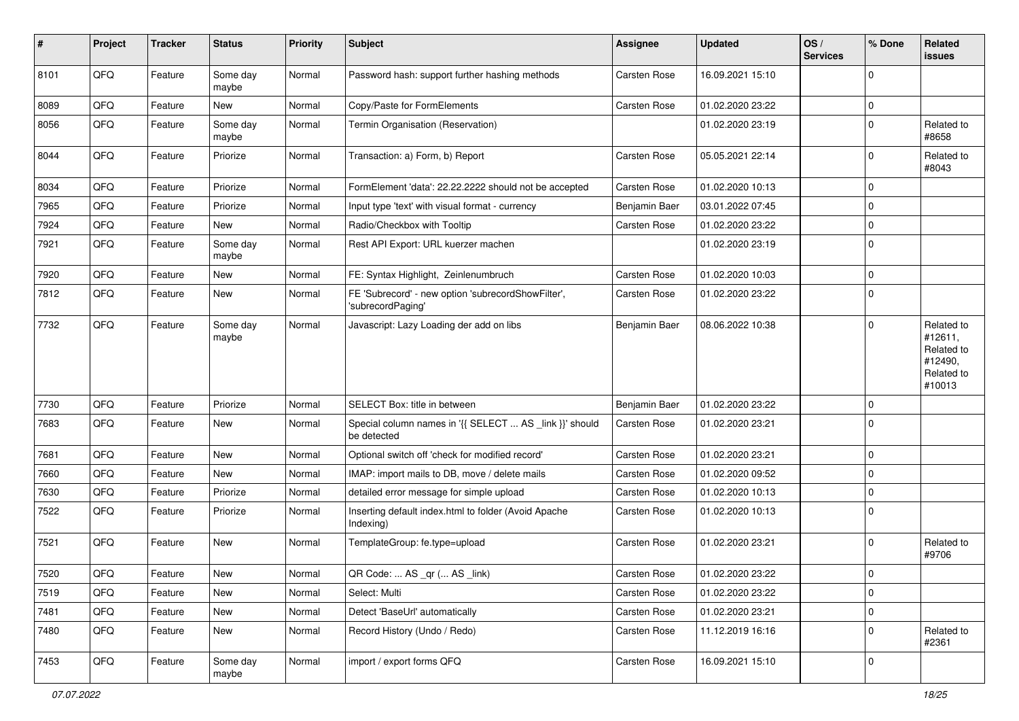| $\sharp$ | Project | <b>Tracker</b> | <b>Status</b>     | <b>Priority</b> | Subject                                                                 | Assignee            | <b>Updated</b>   | OS/<br><b>Services</b> | % Done      | Related<br><b>issues</b>                                               |
|----------|---------|----------------|-------------------|-----------------|-------------------------------------------------------------------------|---------------------|------------------|------------------------|-------------|------------------------------------------------------------------------|
| 8101     | QFQ     | Feature        | Some day<br>maybe | Normal          | Password hash: support further hashing methods                          | Carsten Rose        | 16.09.2021 15:10 |                        | $\Omega$    |                                                                        |
| 8089     | QFQ     | Feature        | New               | Normal          | Copy/Paste for FormElements                                             | <b>Carsten Rose</b> | 01.02.2020 23:22 |                        | 0           |                                                                        |
| 8056     | QFQ     | Feature        | Some day<br>maybe | Normal          | Termin Organisation (Reservation)                                       |                     | 01.02.2020 23:19 |                        | $\mathbf 0$ | Related to<br>#8658                                                    |
| 8044     | QFQ     | Feature        | Priorize          | Normal          | Transaction: a) Form, b) Report                                         | Carsten Rose        | 05.05.2021 22:14 |                        | $\mathbf 0$ | Related to<br>#8043                                                    |
| 8034     | QFQ     | Feature        | Priorize          | Normal          | FormElement 'data': 22.22.2222 should not be accepted                   | Carsten Rose        | 01.02.2020 10:13 |                        | $\mathbf 0$ |                                                                        |
| 7965     | QFQ     | Feature        | Priorize          | Normal          | Input type 'text' with visual format - currency                         | Benjamin Baer       | 03.01.2022 07:45 |                        | $\mathbf 0$ |                                                                        |
| 7924     | QFQ     | Feature        | New               | Normal          | Radio/Checkbox with Tooltip                                             | Carsten Rose        | 01.02.2020 23:22 |                        | $\Omega$    |                                                                        |
| 7921     | QFQ     | Feature        | Some day<br>maybe | Normal          | Rest API Export: URL kuerzer machen                                     |                     | 01.02.2020 23:19 |                        | $\mathbf 0$ |                                                                        |
| 7920     | QFQ     | Feature        | New               | Normal          | FE: Syntax Highlight, Zeinlenumbruch                                    | <b>Carsten Rose</b> | 01.02.2020 10:03 |                        | $\mathbf 0$ |                                                                        |
| 7812     | QFQ     | Feature        | New               | Normal          | FE 'Subrecord' - new option 'subrecordShowFilter',<br>'subrecordPaging' | Carsten Rose        | 01.02.2020 23:22 |                        | $\mathbf 0$ |                                                                        |
| 7732     | QFQ     | Feature        | Some day<br>maybe | Normal          | Javascript: Lazy Loading der add on libs                                | Benjamin Baer       | 08.06.2022 10:38 |                        | $\mathbf 0$ | Related to<br>#12611,<br>Related to<br>#12490,<br>Related to<br>#10013 |
| 7730     | QFQ     | Feature        | Priorize          | Normal          | SELECT Box: title in between                                            | Benjamin Baer       | 01.02.2020 23:22 |                        | $\mathbf 0$ |                                                                        |
| 7683     | QFQ     | Feature        | <b>New</b>        | Normal          | Special column names in '{{ SELECT  AS _link }}' should<br>be detected  | <b>Carsten Rose</b> | 01.02.2020 23:21 |                        | 0           |                                                                        |
| 7681     | QFQ     | Feature        | <b>New</b>        | Normal          | Optional switch off 'check for modified record'                         | Carsten Rose        | 01.02.2020 23:21 |                        | 0           |                                                                        |
| 7660     | QFQ     | Feature        | <b>New</b>        | Normal          | IMAP: import mails to DB, move / delete mails                           | <b>Carsten Rose</b> | 01.02.2020 09:52 |                        | $\mathbf 0$ |                                                                        |
| 7630     | QFQ     | Feature        | Priorize          | Normal          | detailed error message for simple upload                                | Carsten Rose        | 01.02.2020 10:13 |                        | $\mathbf 0$ |                                                                        |
| 7522     | QFQ     | Feature        | Priorize          | Normal          | Inserting default index.html to folder (Avoid Apache<br>Indexing)       | Carsten Rose        | 01.02.2020 10:13 |                        | $\mathbf 0$ |                                                                        |
| 7521     | QFQ     | Feature        | New               | Normal          | TemplateGroup: fe.type=upload                                           | <b>Carsten Rose</b> | 01.02.2020 23:21 |                        | $\Omega$    | Related to<br>#9706                                                    |
| 7520     | QFQ     | Feature        | New               | Normal          | QR Code:  AS _qr ( AS _link)                                            | Carsten Rose        | 01.02.2020 23:22 |                        | 0           |                                                                        |
| 7519     | QFQ     | Feature        | New               | Normal          | Select: Multi                                                           | Carsten Rose        | 01.02.2020 23:22 |                        | 0           |                                                                        |
| 7481     | QFG     | Feature        | New               | Normal          | Detect 'BaseUrl' automatically                                          | Carsten Rose        | 01.02.2020 23:21 |                        | $\mathbf 0$ |                                                                        |
| 7480     | QFQ     | Feature        | New               | Normal          | Record History (Undo / Redo)                                            | Carsten Rose        | 11.12.2019 16:16 |                        | 0           | Related to<br>#2361                                                    |
| 7453     | QFQ     | Feature        | Some day<br>maybe | Normal          | import / export forms QFQ                                               | Carsten Rose        | 16.09.2021 15:10 |                        | 0           |                                                                        |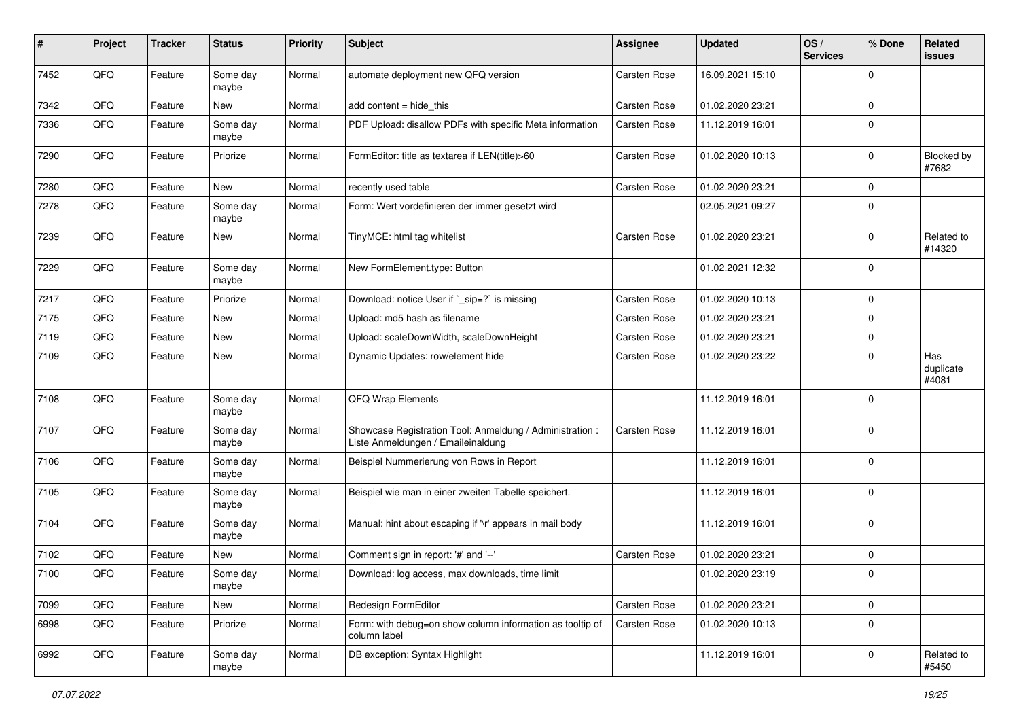| #    | Project | <b>Tracker</b> | <b>Status</b>     | <b>Priority</b> | <b>Subject</b>                                                                                 | Assignee            | <b>Updated</b>   | OS/<br><b>Services</b> | % Done      | Related<br>issues         |
|------|---------|----------------|-------------------|-----------------|------------------------------------------------------------------------------------------------|---------------------|------------------|------------------------|-------------|---------------------------|
| 7452 | QFQ     | Feature        | Some day<br>maybe | Normal          | automate deployment new QFQ version                                                            | Carsten Rose        | 16.09.2021 15:10 |                        | $\Omega$    |                           |
| 7342 | QFQ     | Feature        | New               | Normal          | add content = hide_this                                                                        | Carsten Rose        | 01.02.2020 23:21 |                        | 0           |                           |
| 7336 | QFQ     | Feature        | Some day<br>maybe | Normal          | PDF Upload: disallow PDFs with specific Meta information                                       | Carsten Rose        | 11.12.2019 16:01 |                        | $\mathbf 0$ |                           |
| 7290 | QFQ     | Feature        | Priorize          | Normal          | FormEditor: title as textarea if LEN(title)>60                                                 | <b>Carsten Rose</b> | 01.02.2020 10:13 |                        | $\mathbf 0$ | Blocked by<br>#7682       |
| 7280 | QFQ     | Feature        | New               | Normal          | recently used table                                                                            | Carsten Rose        | 01.02.2020 23:21 |                        | $\mathbf 0$ |                           |
| 7278 | QFQ     | Feature        | Some day<br>maybe | Normal          | Form: Wert vordefinieren der immer gesetzt wird                                                |                     | 02.05.2021 09:27 |                        | $\Omega$    |                           |
| 7239 | QFQ     | Feature        | New               | Normal          | TinyMCE: html tag whitelist                                                                    | <b>Carsten Rose</b> | 01.02.2020 23:21 |                        | $\mathbf 0$ | Related to<br>#14320      |
| 7229 | QFQ     | Feature        | Some day<br>maybe | Normal          | New FormElement.type: Button                                                                   |                     | 01.02.2021 12:32 |                        | $\Omega$    |                           |
| 7217 | QFQ     | Feature        | Priorize          | Normal          | Download: notice User if `_sip=?` is missing                                                   | <b>Carsten Rose</b> | 01.02.2020 10:13 |                        | $\mathbf 0$ |                           |
| 7175 | QFQ     | Feature        | New               | Normal          | Upload: md5 hash as filename                                                                   | Carsten Rose        | 01.02.2020 23:21 |                        | $\Omega$    |                           |
| 7119 | QFQ     | Feature        | <b>New</b>        | Normal          | Upload: scaleDownWidth, scaleDownHeight                                                        | Carsten Rose        | 01.02.2020 23:21 |                        | $\mathbf 0$ |                           |
| 7109 | QFQ     | Feature        | New               | Normal          | Dynamic Updates: row/element hide                                                              | Carsten Rose        | 01.02.2020 23:22 |                        | $\Omega$    | Has<br>duplicate<br>#4081 |
| 7108 | QFQ     | Feature        | Some day<br>maybe | Normal          | <b>QFQ Wrap Elements</b>                                                                       |                     | 11.12.2019 16:01 |                        | $\Omega$    |                           |
| 7107 | QFQ     | Feature        | Some day<br>maybe | Normal          | Showcase Registration Tool: Anmeldung / Administration :<br>Liste Anmeldungen / Emaileinaldung | Carsten Rose        | 11.12.2019 16:01 |                        | $\Omega$    |                           |
| 7106 | QFQ     | Feature        | Some day<br>maybe | Normal          | Beispiel Nummerierung von Rows in Report                                                       |                     | 11.12.2019 16:01 |                        | $\Omega$    |                           |
| 7105 | QFQ     | Feature        | Some day<br>maybe | Normal          | Beispiel wie man in einer zweiten Tabelle speichert.                                           |                     | 11.12.2019 16:01 |                        | $\mathbf 0$ |                           |
| 7104 | QFQ     | Feature        | Some day<br>maybe | Normal          | Manual: hint about escaping if '\r' appears in mail body                                       |                     | 11.12.2019 16:01 |                        | 0           |                           |
| 7102 | QFQ     | Feature        | <b>New</b>        | Normal          | Comment sign in report: '#' and '--'                                                           | <b>Carsten Rose</b> | 01.02.2020 23:21 |                        | $\Omega$    |                           |
| 7100 | QFQ     | Feature        | Some day<br>maybe | Normal          | Download: log access, max downloads, time limit                                                |                     | 01.02.2020 23:19 |                        | $\Omega$    |                           |
| 7099 | QFQ     | Feature        | New               | Normal          | Redesign FormEditor                                                                            | Carsten Rose        | 01.02.2020 23:21 |                        | $\mathbf 0$ |                           |
| 6998 | QFQ     | Feature        | Priorize          | Normal          | Form: with debug=on show column information as tooltip of<br>column label                      | Carsten Rose        | 01.02.2020 10:13 |                        | $\mathbf 0$ |                           |
| 6992 | QFG     | Feature        | Some day<br>maybe | Normal          | DB exception: Syntax Highlight                                                                 |                     | 11.12.2019 16:01 |                        | 0           | Related to<br>#5450       |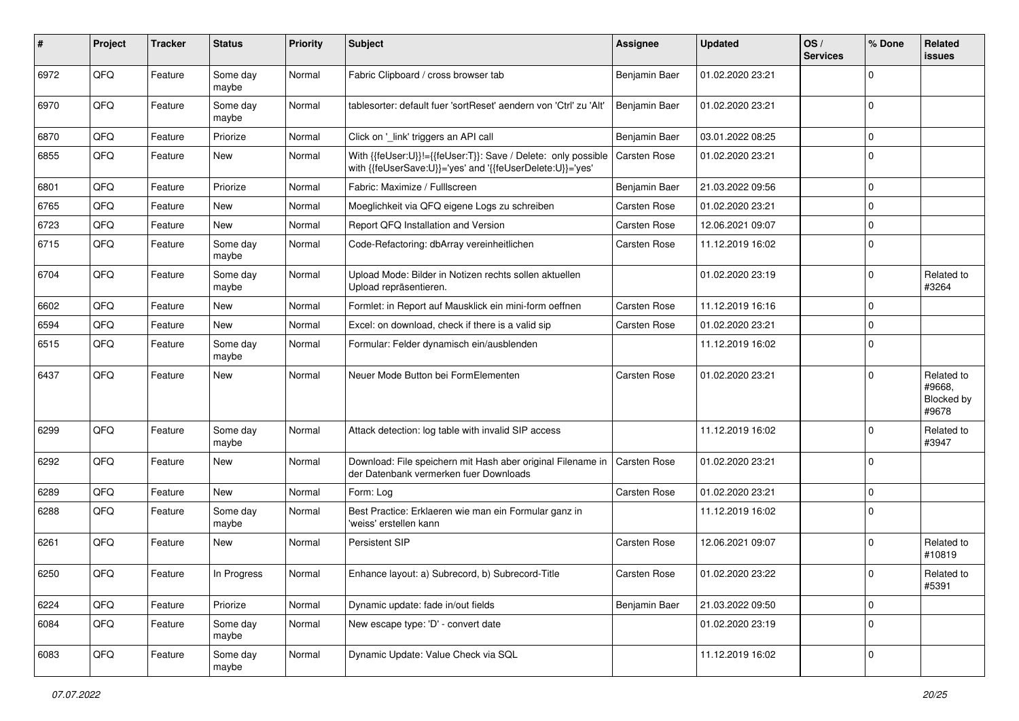| #    | Project        | <b>Tracker</b> | <b>Status</b>     | <b>Priority</b> | <b>Subject</b>                                                                                                             | Assignee            | <b>Updated</b>   | OS/<br><b>Services</b> | % Done      | Related<br>issues                           |
|------|----------------|----------------|-------------------|-----------------|----------------------------------------------------------------------------------------------------------------------------|---------------------|------------------|------------------------|-------------|---------------------------------------------|
| 6972 | QFQ            | Feature        | Some day<br>maybe | Normal          | Fabric Clipboard / cross browser tab                                                                                       | Benjamin Baer       | 01.02.2020 23:21 |                        | $\Omega$    |                                             |
| 6970 | QFQ            | Feature        | Some day<br>maybe | Normal          | tablesorter: default fuer 'sortReset' aendern von 'Ctrl' zu 'Alt'                                                          | Benjamin Baer       | 01.02.2020 23:21 |                        | $\mathbf 0$ |                                             |
| 6870 | QFQ            | Feature        | Priorize          | Normal          | Click on '_link' triggers an API call                                                                                      | Benjamin Baer       | 03.01.2022 08:25 |                        | $\mathbf 0$ |                                             |
| 6855 | QFQ            | Feature        | New               | Normal          | With {{feUser:U}}!={{feUser:T}}: Save / Delete: only possible<br>with {{feUserSave:U}}='yes' and '{{feUserDelete:U}}='yes' | Carsten Rose        | 01.02.2020 23:21 |                        | $\mathbf 0$ |                                             |
| 6801 | QFQ            | Feature        | Priorize          | Normal          | Fabric: Maximize / FullIscreen                                                                                             | Benjamin Baer       | 21.03.2022 09:56 |                        | $\mathbf 0$ |                                             |
| 6765 | QFQ            | Feature        | New               | Normal          | Moeglichkeit via QFQ eigene Logs zu schreiben                                                                              | Carsten Rose        | 01.02.2020 23:21 |                        | $\mathbf 0$ |                                             |
| 6723 | QFQ            | Feature        | New               | Normal          | Report QFQ Installation and Version                                                                                        | <b>Carsten Rose</b> | 12.06.2021 09:07 |                        | 0           |                                             |
| 6715 | QFQ            | Feature        | Some day<br>maybe | Normal          | Code-Refactoring: dbArray vereinheitlichen                                                                                 | <b>Carsten Rose</b> | 11.12.2019 16:02 |                        | $\Omega$    |                                             |
| 6704 | QFQ            | Feature        | Some day<br>maybe | Normal          | Upload Mode: Bilder in Notizen rechts sollen aktuellen<br>Upload repräsentieren.                                           |                     | 01.02.2020 23:19 |                        | $\mathbf 0$ | Related to<br>#3264                         |
| 6602 | QFQ            | Feature        | <b>New</b>        | Normal          | Formlet: in Report auf Mausklick ein mini-form oeffnen                                                                     | <b>Carsten Rose</b> | 11.12.2019 16:16 |                        | $\mathbf 0$ |                                             |
| 6594 | QFQ            | Feature        | New               | Normal          | Excel: on download, check if there is a valid sip                                                                          | <b>Carsten Rose</b> | 01.02.2020 23:21 |                        | $\Omega$    |                                             |
| 6515 | QFQ            | Feature        | Some day<br>maybe | Normal          | Formular: Felder dynamisch ein/ausblenden                                                                                  |                     | 11.12.2019 16:02 |                        | $\Omega$    |                                             |
| 6437 | QFQ            | Feature        | <b>New</b>        | Normal          | Neuer Mode Button bei FormElementen                                                                                        | <b>Carsten Rose</b> | 01.02.2020 23:21 |                        | $\Omega$    | Related to<br>#9668.<br>Blocked by<br>#9678 |
| 6299 | QFQ            | Feature        | Some day<br>maybe | Normal          | Attack detection: log table with invalid SIP access                                                                        |                     | 11.12.2019 16:02 |                        | $\Omega$    | Related to<br>#3947                         |
| 6292 | QFQ            | Feature        | New               | Normal          | Download: File speichern mit Hash aber original Filename in<br>der Datenbank vermerken fuer Downloads                      | <b>Carsten Rose</b> | 01.02.2020 23:21 |                        | $\Omega$    |                                             |
| 6289 | QFQ            | Feature        | <b>New</b>        | Normal          | Form: Log                                                                                                                  | <b>Carsten Rose</b> | 01.02.2020 23:21 |                        | $\Omega$    |                                             |
| 6288 | QFQ            | Feature        | Some day<br>maybe | Normal          | Best Practice: Erklaeren wie man ein Formular ganz in<br>'weiss' erstellen kann                                            |                     | 11.12.2019 16:02 |                        | 0           |                                             |
| 6261 | QFQ            | Feature        | <b>New</b>        | Normal          | Persistent SIP                                                                                                             | <b>Carsten Rose</b> | 12.06.2021 09:07 |                        | $\Omega$    | Related to<br>#10819                        |
| 6250 | $\mathsf{QFQ}$ | Feature        | In Progress       | Normal          | Enhance layout: a) Subrecord, b) Subrecord-Title                                                                           | Carsten Rose        | 01.02.2020 23:22 |                        | $\mathbf 0$ | Related to<br>#5391                         |
| 6224 | QFQ            | Feature        | Priorize          | Normal          | Dynamic update: fade in/out fields                                                                                         | Benjamin Baer       | 21.03.2022 09:50 |                        | $\mathbf 0$ |                                             |
| 6084 | QFQ            | Feature        | Some day<br>maybe | Normal          | New escape type: 'D' - convert date                                                                                        |                     | 01.02.2020 23:19 |                        | 0           |                                             |
| 6083 | QFG            | Feature        | Some day<br>maybe | Normal          | Dynamic Update: Value Check via SQL                                                                                        |                     | 11.12.2019 16:02 |                        | 0           |                                             |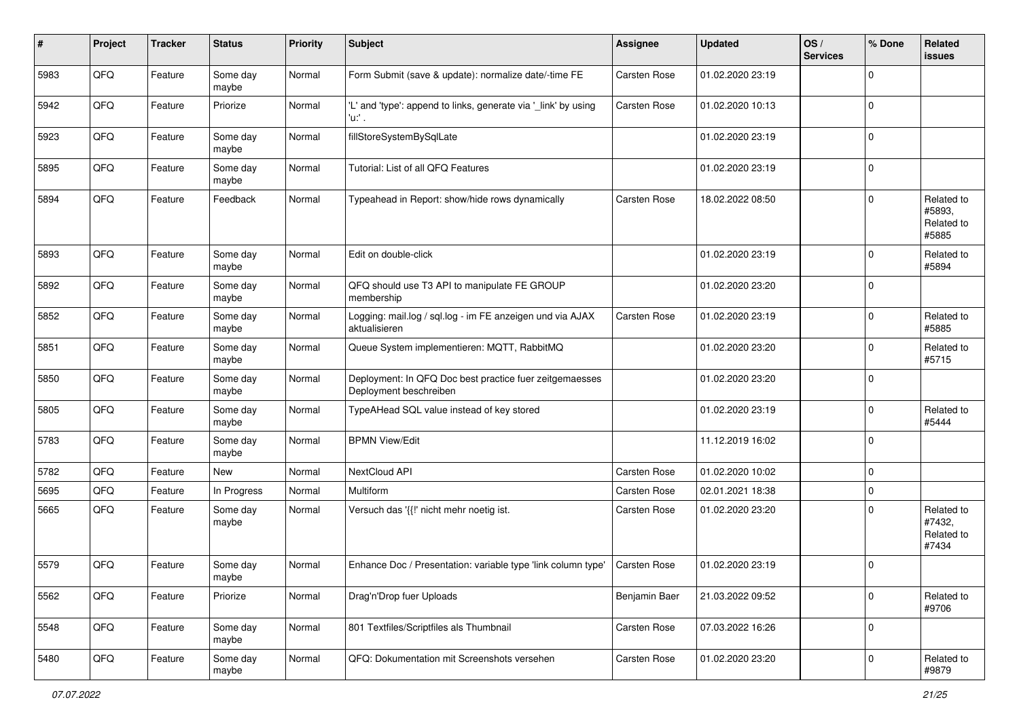| #    | Project | <b>Tracker</b> | <b>Status</b>     | <b>Priority</b> | Subject                                                                           | Assignee            | <b>Updated</b>   | OS/<br><b>Services</b> | % Done      | Related<br>issues                           |
|------|---------|----------------|-------------------|-----------------|-----------------------------------------------------------------------------------|---------------------|------------------|------------------------|-------------|---------------------------------------------|
| 5983 | QFQ     | Feature        | Some day<br>maybe | Normal          | Form Submit (save & update): normalize date/-time FE                              | Carsten Rose        | 01.02.2020 23:19 |                        | $\mathbf 0$ |                                             |
| 5942 | QFQ     | Feature        | Priorize          | Normal          | 'L' and 'type': append to links, generate via '_link' by using<br>'n.             | <b>Carsten Rose</b> | 01.02.2020 10:13 |                        | $\mathbf 0$ |                                             |
| 5923 | QFQ     | Feature        | Some day<br>maybe | Normal          | fillStoreSystemBySqlLate                                                          |                     | 01.02.2020 23:19 |                        | $\Omega$    |                                             |
| 5895 | QFQ     | Feature        | Some day<br>maybe | Normal          | Tutorial: List of all QFQ Features                                                |                     | 01.02.2020 23:19 |                        | $\mathbf 0$ |                                             |
| 5894 | QFQ     | Feature        | Feedback          | Normal          | Typeahead in Report: show/hide rows dynamically                                   | <b>Carsten Rose</b> | 18.02.2022 08:50 |                        | $\Omega$    | Related to<br>#5893.<br>Related to<br>#5885 |
| 5893 | QFQ     | Feature        | Some day<br>maybe | Normal          | Edit on double-click                                                              |                     | 01.02.2020 23:19 |                        | 0           | Related to<br>#5894                         |
| 5892 | QFQ     | Feature        | Some day<br>maybe | Normal          | QFQ should use T3 API to manipulate FE GROUP<br>membership                        |                     | 01.02.2020 23:20 |                        | $\mathbf 0$ |                                             |
| 5852 | QFQ     | Feature        | Some day<br>maybe | Normal          | Logging: mail.log / sql.log - im FE anzeigen und via AJAX<br>aktualisieren        | <b>Carsten Rose</b> | 01.02.2020 23:19 |                        | $\mathbf 0$ | Related to<br>#5885                         |
| 5851 | QFQ     | Feature        | Some day<br>maybe | Normal          | Queue System implementieren: MQTT, RabbitMQ                                       |                     | 01.02.2020 23:20 |                        | $\Omega$    | Related to<br>#5715                         |
| 5850 | QFQ     | Feature        | Some day<br>maybe | Normal          | Deployment: In QFQ Doc best practice fuer zeitgemaesses<br>Deployment beschreiben |                     | 01.02.2020 23:20 |                        | $\mathbf 0$ |                                             |
| 5805 | QFQ     | Feature        | Some day<br>maybe | Normal          | TypeAHead SQL value instead of key stored                                         |                     | 01.02.2020 23:19 |                        | $\Omega$    | Related to<br>#5444                         |
| 5783 | QFQ     | Feature        | Some day<br>maybe | Normal          | <b>BPMN View/Edit</b>                                                             |                     | 11.12.2019 16:02 |                        | $\mathbf 0$ |                                             |
| 5782 | QFQ     | Feature        | <b>New</b>        | Normal          | NextCloud API                                                                     | <b>Carsten Rose</b> | 01.02.2020 10:02 |                        | $\mathbf 0$ |                                             |
| 5695 | QFQ     | Feature        | In Progress       | Normal          | Multiform                                                                         | Carsten Rose        | 02.01.2021 18:38 |                        | $\mathbf 0$ |                                             |
| 5665 | QFQ     | Feature        | Some day<br>maybe | Normal          | Versuch das '{{!' nicht mehr noetig ist.                                          | Carsten Rose        | 01.02.2020 23:20 |                        | $\Omega$    | Related to<br>#7432,<br>Related to<br>#7434 |
| 5579 | QFQ     | Feature        | Some day<br>maybe | Normal          | Enhance Doc / Presentation: variable type 'link column type'                      | <b>Carsten Rose</b> | 01.02.2020 23:19 |                        | $\Omega$    |                                             |
| 5562 | QFG     | Feature        | Priorize          | Normal          | Drag'n'Drop fuer Uploads                                                          | Benjamin Baer       | 21.03.2022 09:52 |                        | $\mathbf 0$ | Related to<br>#9706                         |
| 5548 | QFG     | Feature        | Some day<br>maybe | Normal          | 801 Textfiles/Scriptfiles als Thumbnail                                           | Carsten Rose        | 07.03.2022 16:26 |                        | 0           |                                             |
| 5480 | QFQ     | Feature        | Some day<br>maybe | Normal          | QFQ: Dokumentation mit Screenshots versehen                                       | Carsten Rose        | 01.02.2020 23:20 |                        | $\mathbf 0$ | Related to<br>#9879                         |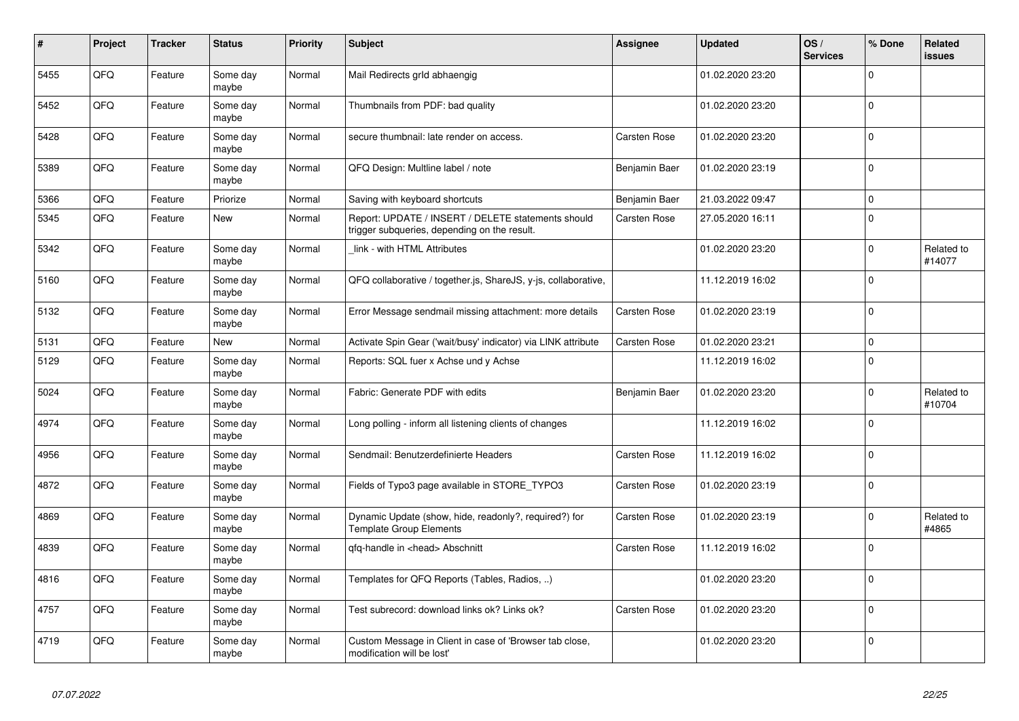| #    | Project | <b>Tracker</b> | <b>Status</b>     | <b>Priority</b> | <b>Subject</b>                                                                                     | Assignee            | <b>Updated</b>   | OS/<br><b>Services</b> | % Done      | Related<br>issues    |
|------|---------|----------------|-------------------|-----------------|----------------------------------------------------------------------------------------------------|---------------------|------------------|------------------------|-------------|----------------------|
| 5455 | QFQ     | Feature        | Some day<br>maybe | Normal          | Mail Redirects grld abhaengig                                                                      |                     | 01.02.2020 23:20 |                        | $\Omega$    |                      |
| 5452 | QFQ     | Feature        | Some day<br>maybe | Normal          | Thumbnails from PDF: bad quality                                                                   |                     | 01.02.2020 23:20 |                        | $\Omega$    |                      |
| 5428 | QFQ     | Feature        | Some day<br>maybe | Normal          | secure thumbnail: late render on access.                                                           | Carsten Rose        | 01.02.2020 23:20 |                        | $\mathbf 0$ |                      |
| 5389 | QFQ     | Feature        | Some day<br>maybe | Normal          | QFQ Design: Multline label / note                                                                  | Benjamin Baer       | 01.02.2020 23:19 |                        | $\Omega$    |                      |
| 5366 | QFQ     | Feature        | Priorize          | Normal          | Saving with keyboard shortcuts                                                                     | Benjamin Baer       | 21.03.2022 09:47 |                        | $\Omega$    |                      |
| 5345 | QFQ     | Feature        | <b>New</b>        | Normal          | Report: UPDATE / INSERT / DELETE statements should<br>trigger subqueries, depending on the result. | Carsten Rose        | 27.05.2020 16:11 |                        | $\Omega$    |                      |
| 5342 | QFQ     | Feature        | Some day<br>maybe | Normal          | link - with HTML Attributes                                                                        |                     | 01.02.2020 23:20 |                        | $\Omega$    | Related to<br>#14077 |
| 5160 | QFQ     | Feature        | Some day<br>maybe | Normal          | QFQ collaborative / together.js, ShareJS, y-js, collaborative,                                     |                     | 11.12.2019 16:02 |                        | $\mathbf 0$ |                      |
| 5132 | QFQ     | Feature        | Some day<br>maybe | Normal          | Error Message sendmail missing attachment: more details                                            | <b>Carsten Rose</b> | 01.02.2020 23:19 |                        | $\Omega$    |                      |
| 5131 | QFQ     | Feature        | <b>New</b>        | Normal          | Activate Spin Gear ('wait/busy' indicator) via LINK attribute                                      | Carsten Rose        | 01.02.2020 23:21 |                        | $\Omega$    |                      |
| 5129 | QFQ     | Feature        | Some day<br>maybe | Normal          | Reports: SQL fuer x Achse und y Achse                                                              |                     | 11.12.2019 16:02 |                        | $\Omega$    |                      |
| 5024 | QFQ     | Feature        | Some day<br>maybe | Normal          | Fabric: Generate PDF with edits                                                                    | Benjamin Baer       | 01.02.2020 23:20 |                        | $\Omega$    | Related to<br>#10704 |
| 4974 | QFQ     | Feature        | Some day<br>maybe | Normal          | Long polling - inform all listening clients of changes                                             |                     | 11.12.2019 16:02 |                        | 0           |                      |
| 4956 | QFQ     | Feature        | Some day<br>maybe | Normal          | Sendmail: Benutzerdefinierte Headers                                                               | Carsten Rose        | 11.12.2019 16:02 |                        | $\mathbf 0$ |                      |
| 4872 | QFQ     | Feature        | Some day<br>maybe | Normal          | Fields of Typo3 page available in STORE_TYPO3                                                      | Carsten Rose        | 01.02.2020 23:19 |                        | $\Omega$    |                      |
| 4869 | QFQ     | Feature        | Some day<br>maybe | Normal          | Dynamic Update (show, hide, readonly?, required?) for<br><b>Template Group Elements</b>            | Carsten Rose        | 01.02.2020 23:19 |                        | $\Omega$    | Related to<br>#4865  |
| 4839 | QFQ     | Feature        | Some day<br>maybe | Normal          | gfg-handle in <head> Abschnitt</head>                                                              | Carsten Rose        | 11.12.2019 16:02 |                        | $\Omega$    |                      |
| 4816 | QFQ     | Feature        | Some day<br>maybe | Normal          | Templates for QFQ Reports (Tables, Radios, )                                                       |                     | 01.02.2020 23:20 |                        | $\Omega$    |                      |
| 4757 | QFQ     | Feature        | Some day<br>maybe | Normal          | Test subrecord: download links ok? Links ok?                                                       | Carsten Rose        | 01.02.2020 23:20 |                        | $\mathbf 0$ |                      |
| 4719 | QFQ     | Feature        | Some day<br>maybe | Normal          | Custom Message in Client in case of 'Browser tab close,<br>modification will be lost'              |                     | 01.02.2020 23:20 |                        | $\Omega$    |                      |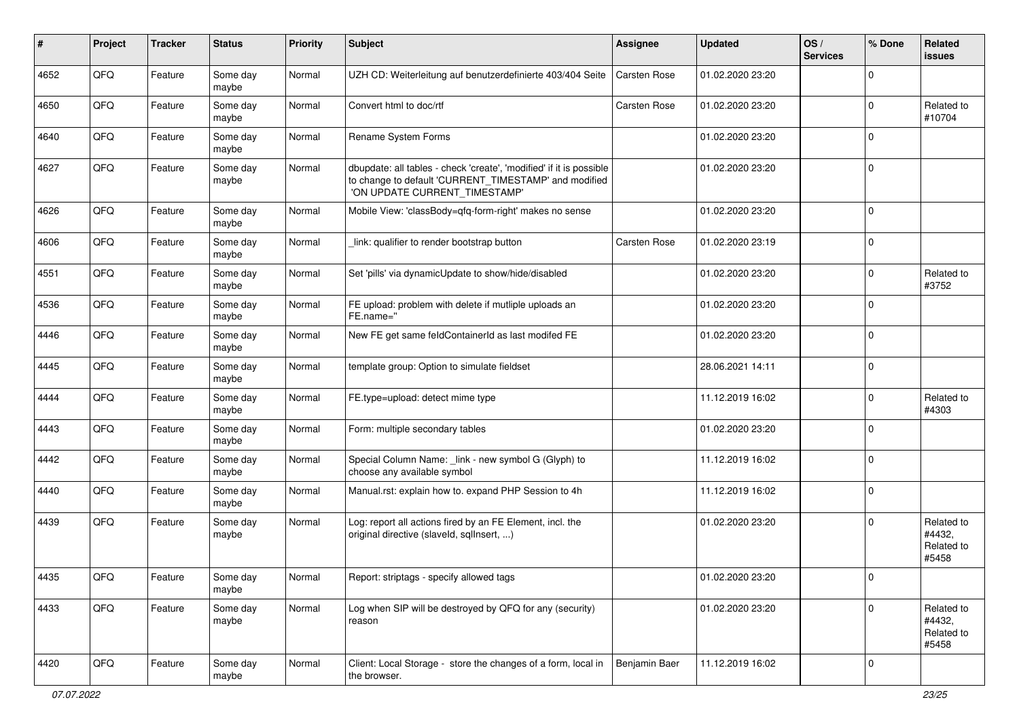| ∦    | Project | <b>Tracker</b> | <b>Status</b>     | <b>Priority</b> | Subject                                                                                                                                                       | <b>Assignee</b>     | <b>Updated</b>   | OS/<br><b>Services</b> | % Done       | Related<br>issues                           |
|------|---------|----------------|-------------------|-----------------|---------------------------------------------------------------------------------------------------------------------------------------------------------------|---------------------|------------------|------------------------|--------------|---------------------------------------------|
| 4652 | QFQ     | Feature        | Some day<br>maybe | Normal          | UZH CD: Weiterleitung auf benutzerdefinierte 403/404 Seite                                                                                                    | <b>Carsten Rose</b> | 01.02.2020 23:20 |                        | $\Omega$     |                                             |
| 4650 | QFQ     | Feature        | Some day<br>maybe | Normal          | Convert html to doc/rtf                                                                                                                                       | Carsten Rose        | 01.02.2020 23:20 |                        | $\Omega$     | Related to<br>#10704                        |
| 4640 | QFQ     | Feature        | Some day<br>maybe | Normal          | Rename System Forms                                                                                                                                           |                     | 01.02.2020 23:20 |                        | $\Omega$     |                                             |
| 4627 | QFQ     | Feature        | Some day<br>maybe | Normal          | dbupdate: all tables - check 'create', 'modified' if it is possible<br>to change to default 'CURRENT_TIMESTAMP' and modified<br>'ON UPDATE CURRENT TIMESTAMP' |                     | 01.02.2020 23:20 |                        | $\Omega$     |                                             |
| 4626 | QFQ     | Feature        | Some day<br>maybe | Normal          | Mobile View: 'classBody=qfq-form-right' makes no sense                                                                                                        |                     | 01.02.2020 23:20 |                        | $\mathbf 0$  |                                             |
| 4606 | QFQ     | Feature        | Some day<br>maybe | Normal          | link: qualifier to render bootstrap button                                                                                                                    | Carsten Rose        | 01.02.2020 23:19 |                        | $\mathbf{0}$ |                                             |
| 4551 | QFQ     | Feature        | Some day<br>maybe | Normal          | Set 'pills' via dynamicUpdate to show/hide/disabled                                                                                                           |                     | 01.02.2020 23:20 |                        | $\Omega$     | Related to<br>#3752                         |
| 4536 | QFQ     | Feature        | Some day<br>maybe | Normal          | FE upload: problem with delete if mutliple uploads an<br>FE.name="                                                                                            |                     | 01.02.2020 23:20 |                        | $\Omega$     |                                             |
| 4446 | QFQ     | Feature        | Some day<br>maybe | Normal          | New FE get same feldContainerId as last modifed FE                                                                                                            |                     | 01.02.2020 23:20 |                        | $\Omega$     |                                             |
| 4445 | QFQ     | Feature        | Some day<br>maybe | Normal          | template group: Option to simulate fieldset                                                                                                                   |                     | 28.06.2021 14:11 |                        | $\mathbf 0$  |                                             |
| 4444 | QFQ     | Feature        | Some day<br>maybe | Normal          | FE.type=upload: detect mime type                                                                                                                              |                     | 11.12.2019 16:02 |                        | $\Omega$     | Related to<br>#4303                         |
| 4443 | QFQ     | Feature        | Some day<br>maybe | Normal          | Form: multiple secondary tables                                                                                                                               |                     | 01.02.2020 23:20 |                        | $\mathbf{0}$ |                                             |
| 4442 | QFQ     | Feature        | Some day<br>maybe | Normal          | Special Column Name: _link - new symbol G (Glyph) to<br>choose any available symbol                                                                           |                     | 11.12.2019 16:02 |                        | $\Omega$     |                                             |
| 4440 | QFQ     | Feature        | Some day<br>maybe | Normal          | Manual.rst: explain how to. expand PHP Session to 4h                                                                                                          |                     | 11.12.2019 16:02 |                        | $\mathbf{0}$ |                                             |
| 4439 | QFQ     | Feature        | Some day<br>maybe | Normal          | Log: report all actions fired by an FE Element, incl. the<br>original directive (slaveld, sqllnsert, )                                                        |                     | 01.02.2020 23:20 |                        | $\Omega$     | Related to<br>#4432,<br>Related to<br>#5458 |
| 4435 | QFQ     | Feature        | Some day<br>maybe | Normal          | Report: striptags - specify allowed tags                                                                                                                      |                     | 01.02.2020 23:20 |                        |              |                                             |
| 4433 | QFG     | Feature        | Some day<br>maybe | Normal          | Log when SIP will be destroyed by QFQ for any (security)<br>reason                                                                                            |                     | 01.02.2020 23:20 |                        | $\Omega$     | Related to<br>#4432,<br>Related to<br>#5458 |
| 4420 | QFQ     | Feature        | Some day<br>maybe | Normal          | Client: Local Storage - store the changes of a form, local in<br>the browser.                                                                                 | Benjamin Baer       | 11.12.2019 16:02 |                        | $\mathbf 0$  |                                             |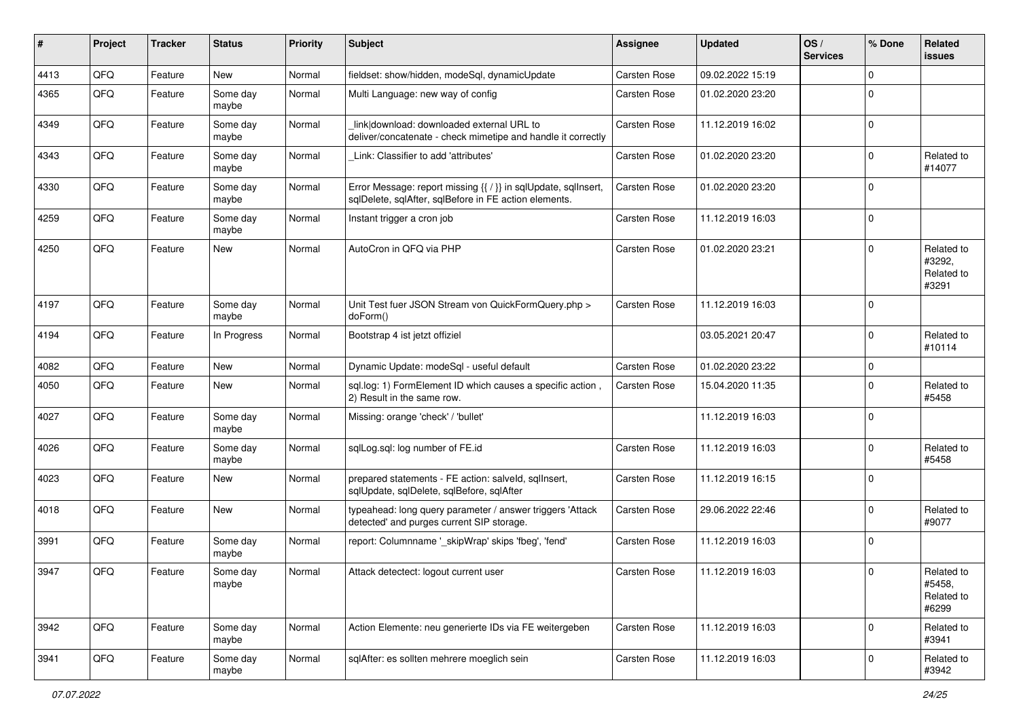| $\sharp$ | Project | <b>Tracker</b> | <b>Status</b>     | <b>Priority</b> | Subject                                                                                                                 | <b>Assignee</b>     | <b>Updated</b>   | OS/<br><b>Services</b> | % Done      | Related<br><b>issues</b>                    |
|----------|---------|----------------|-------------------|-----------------|-------------------------------------------------------------------------------------------------------------------------|---------------------|------------------|------------------------|-------------|---------------------------------------------|
| 4413     | QFQ     | Feature        | <b>New</b>        | Normal          | fieldset: show/hidden, modeSql, dynamicUpdate                                                                           | Carsten Rose        | 09.02.2022 15:19 |                        | $\mathbf 0$ |                                             |
| 4365     | QFQ     | Feature        | Some day<br>maybe | Normal          | Multi Language: new way of config                                                                                       | Carsten Rose        | 01.02.2020 23:20 |                        | $\Omega$    |                                             |
| 4349     | QFQ     | Feature        | Some day<br>maybe | Normal          | linkldownload: downloaded external URL to<br>deliver/concatenate - check mimetipe and handle it correctly               | <b>Carsten Rose</b> | 11.12.2019 16:02 |                        | $\mathbf 0$ |                                             |
| 4343     | QFQ     | Feature        | Some day<br>maybe | Normal          | Link: Classifier to add 'attributes'                                                                                    | Carsten Rose        | 01.02.2020 23:20 |                        | $\Omega$    | Related to<br>#14077                        |
| 4330     | QFQ     | Feature        | Some day<br>maybe | Normal          | Error Message: report missing {{ / }} in sqlUpdate, sqlInsert,<br>sqlDelete, sqlAfter, sqlBefore in FE action elements. | Carsten Rose        | 01.02.2020 23:20 |                        | $\Omega$    |                                             |
| 4259     | QFQ     | Feature        | Some day<br>maybe | Normal          | Instant trigger a cron job                                                                                              | Carsten Rose        | 11.12.2019 16:03 |                        | $\mathbf 0$ |                                             |
| 4250     | QFQ     | Feature        | <b>New</b>        | Normal          | AutoCron in QFQ via PHP                                                                                                 | <b>Carsten Rose</b> | 01.02.2020 23:21 |                        | $\mathbf 0$ | Related to<br>#3292,<br>Related to<br>#3291 |
| 4197     | QFQ     | Feature        | Some day<br>maybe | Normal          | Unit Test fuer JSON Stream von QuickFormQuery.php ><br>doForm()                                                         | <b>Carsten Rose</b> | 11.12.2019 16:03 |                        | $\Omega$    |                                             |
| 4194     | QFQ     | Feature        | In Progress       | Normal          | Bootstrap 4 ist jetzt offiziel                                                                                          |                     | 03.05.2021 20:47 |                        | $\Omega$    | Related to<br>#10114                        |
| 4082     | QFQ     | Feature        | <b>New</b>        | Normal          | Dynamic Update: modeSql - useful default                                                                                | Carsten Rose        | 01.02.2020 23:22 |                        | $\mathbf 0$ |                                             |
| 4050     | QFQ     | Feature        | New               | Normal          | sql.log: 1) FormElement ID which causes a specific action,<br>2) Result in the same row.                                | Carsten Rose        | 15.04.2020 11:35 |                        | $\mathbf 0$ | Related to<br>#5458                         |
| 4027     | QFQ     | Feature        | Some day<br>maybe | Normal          | Missing: orange 'check' / 'bullet'                                                                                      |                     | 11.12.2019 16:03 |                        | $\mathbf 0$ |                                             |
| 4026     | QFQ     | Feature        | Some day<br>maybe | Normal          | sqlLog.sql: log number of FE.id                                                                                         | Carsten Rose        | 11.12.2019 16:03 |                        | $\Omega$    | Related to<br>#5458                         |
| 4023     | QFQ     | Feature        | <b>New</b>        | Normal          | prepared statements - FE action: salveld, sqllnsert,<br>sqlUpdate, sqlDelete, sqlBefore, sqlAfter                       | Carsten Rose        | 11.12.2019 16:15 |                        | $\Omega$    |                                             |
| 4018     | QFQ     | Feature        | <b>New</b>        | Normal          | typeahead: long query parameter / answer triggers 'Attack<br>detected' and purges current SIP storage.                  | Carsten Rose        | 29.06.2022 22:46 |                        | $\mathbf 0$ | Related to<br>#9077                         |
| 3991     | QFQ     | Feature        | Some day<br>maybe | Normal          | report: Columnname ' skipWrap' skips 'fbeg', 'fend'                                                                     | <b>Carsten Rose</b> | 11.12.2019 16:03 |                        | 0           |                                             |
| 3947     | QFQ     | Feature        | Some day<br>maybe | Normal          | Attack detectect: logout current user                                                                                   | <b>Carsten Rose</b> | 11.12.2019 16:03 |                        | 0           | Related to<br>#5458,<br>Related to<br>#6299 |
| 3942     | QFQ     | Feature        | Some day<br>maybe | Normal          | Action Elemente: neu generierte IDs via FE weitergeben                                                                  | Carsten Rose        | 11.12.2019 16:03 |                        | 0           | Related to<br>#3941                         |
| 3941     | QFG     | Feature        | Some day<br>maybe | Normal          | sqlAfter: es sollten mehrere moeglich sein                                                                              | Carsten Rose        | 11.12.2019 16:03 |                        | $\mathbf 0$ | Related to<br>#3942                         |